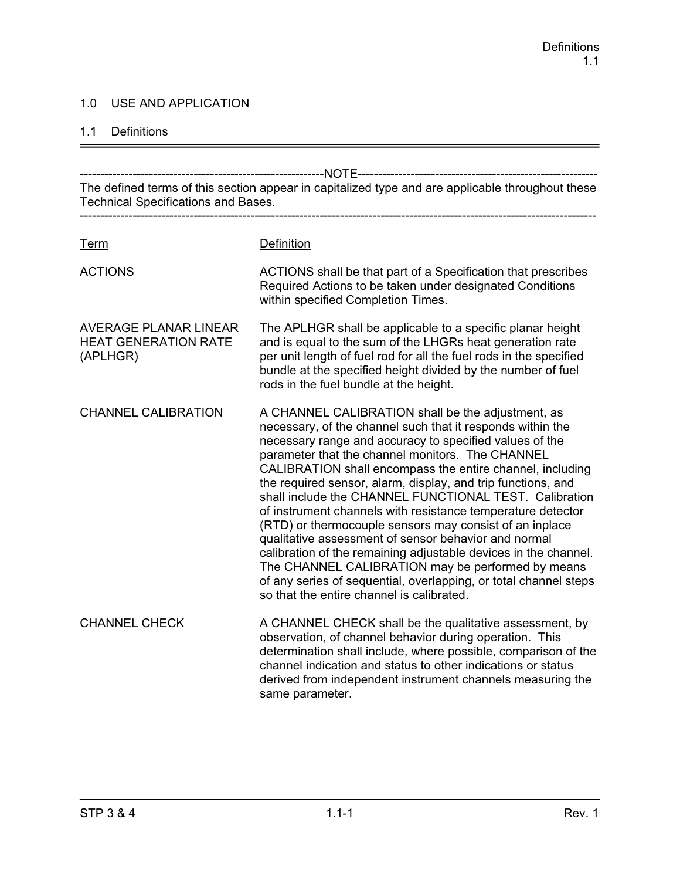### 1.0 USE AND APPLICATION

#### 1.1 Definitions

------------------------------------------------------------NOTE----------------------------------------------------------- The defined terms of this section appear in capitalized type and are applicable throughout these Technical Specifications and Bases. ------------------------------------------------------------------------------------------------------------------------------- Term Definition ACTIONS ACTIONS shall be that part of a Specification that prescribes Required Actions to be taken under designated Conditions within specified Completion Times. AVERAGE PLANAR LINEAR The APLHGR shall be applicable to a specific planar height HEAT GENERATION RATE and is equal to the sum of the LHGRs heat generation rate (APLHGR) per unit length of fuel rod for all the fuel rods in the specified bundle at the specified height divided by the number of fuel rods in the fuel bundle at the height. CHANNEL CALIBRATION A CHANNEL CALIBRATION shall be the adjustment, as necessary, of the channel such that it responds within the necessary range and accuracy to specified values of the parameter that the channel monitors. The CHANNEL CALIBRATION shall encompass the entire channel, including the required sensor, alarm, display, and trip functions, and shall include the CHANNEL FUNCTIONAL TEST. Calibration of instrument channels with resistance temperature detector (RTD) or thermocouple sensors may consist of an inplace qualitative assessment of sensor behavior and normal calibration of the remaining adjustable devices in the channel. The CHANNEL CALIBRATION may be performed by means of any series of sequential, overlapping, or total channel steps so that the entire channel is calibrated. CHANNEL CHECK A CHANNEL CHECK shall be the qualitative assessment, by observation, of channel behavior during operation. This determination shall include, where possible, comparison of the channel indication and status to other indications or status derived from independent instrument channels measuring the same parameter.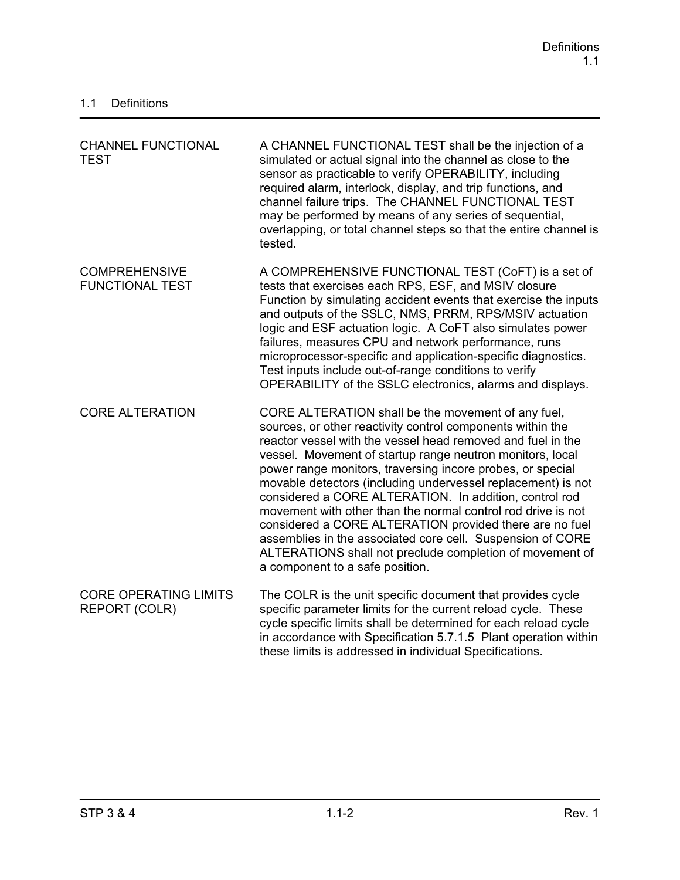| <b>CHANNEL FUNCTIONAL</b><br><b>TEST</b>             | A CHANNEL FUNCTIONAL TEST shall be the injection of a<br>simulated or actual signal into the channel as close to the<br>sensor as practicable to verify OPERABILITY, including<br>required alarm, interlock, display, and trip functions, and<br>channel failure trips. The CHANNEL FUNCTIONAL TEST<br>may be performed by means of any series of sequential,<br>overlapping, or total channel steps so that the entire channel is<br>tested.                                                                                                                                                                                                                                                                                |
|------------------------------------------------------|------------------------------------------------------------------------------------------------------------------------------------------------------------------------------------------------------------------------------------------------------------------------------------------------------------------------------------------------------------------------------------------------------------------------------------------------------------------------------------------------------------------------------------------------------------------------------------------------------------------------------------------------------------------------------------------------------------------------------|
| <b>COMPREHENSIVE</b><br><b>FUNCTIONAL TEST</b>       | A COMPREHENSIVE FUNCTIONAL TEST (CoFT) is a set of<br>tests that exercises each RPS, ESF, and MSIV closure<br>Function by simulating accident events that exercise the inputs<br>and outputs of the SSLC, NMS, PRRM, RPS/MSIV actuation<br>logic and ESF actuation logic. A CoFT also simulates power<br>failures, measures CPU and network performance, runs<br>microprocessor-specific and application-specific diagnostics.<br>Test inputs include out-of-range conditions to verify<br>OPERABILITY of the SSLC electronics, alarms and displays.                                                                                                                                                                         |
| <b>CORE ALTERATION</b>                               | CORE ALTERATION shall be the movement of any fuel,<br>sources, or other reactivity control components within the<br>reactor vessel with the vessel head removed and fuel in the<br>vessel. Movement of startup range neutron monitors, local<br>power range monitors, traversing incore probes, or special<br>movable detectors (including undervessel replacement) is not<br>considered a CORE ALTERATION. In addition, control rod<br>movement with other than the normal control rod drive is not<br>considered a CORE ALTERATION provided there are no fuel<br>assemblies in the associated core cell. Suspension of CORE<br>ALTERATIONS shall not preclude completion of movement of<br>a component to a safe position. |
| <b>CORE OPERATING LIMITS</b><br><b>REPORT (COLR)</b> | The COLR is the unit specific document that provides cycle<br>specific parameter limits for the current reload cycle. These<br>cycle specific limits shall be determined for each reload cycle<br>in accordance with Specification 5.7.1.5 Plant operation within<br>these limits is addressed in individual Specifications.                                                                                                                                                                                                                                                                                                                                                                                                 |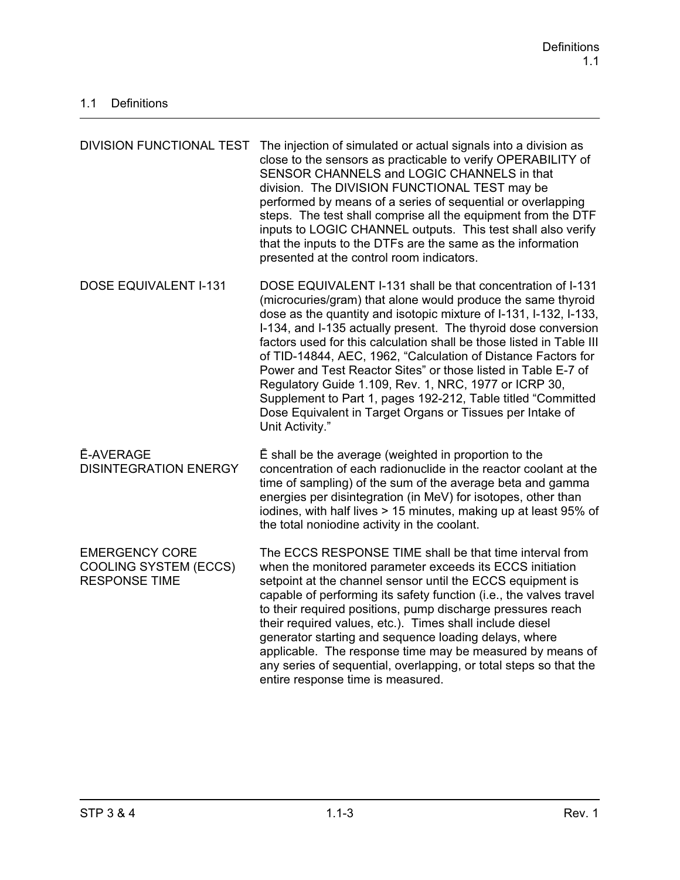| <b>DIVISION FUNCTIONAL TEST</b>                                               | The injection of simulated or actual signals into a division as<br>close to the sensors as practicable to verify OPERABILITY of<br>SENSOR CHANNELS and LOGIC CHANNELS in that<br>division. The DIVISION FUNCTIONAL TEST may be<br>performed by means of a series of sequential or overlapping<br>steps. The test shall comprise all the equipment from the DTF<br>inputs to LOGIC CHANNEL outputs. This test shall also verify<br>that the inputs to the DTFs are the same as the information<br>presented at the control room indicators.                                                                                                                                           |
|-------------------------------------------------------------------------------|--------------------------------------------------------------------------------------------------------------------------------------------------------------------------------------------------------------------------------------------------------------------------------------------------------------------------------------------------------------------------------------------------------------------------------------------------------------------------------------------------------------------------------------------------------------------------------------------------------------------------------------------------------------------------------------|
| <b>DOSE EQUIVALENT I-131</b>                                                  | DOSE EQUIVALENT I-131 shall be that concentration of I-131<br>(microcuries/gram) that alone would produce the same thyroid<br>dose as the quantity and isotopic mixture of I-131, I-132, I-133,<br>I-134, and I-135 actually present. The thyroid dose conversion<br>factors used for this calculation shall be those listed in Table III<br>of TID-14844, AEC, 1962, "Calculation of Distance Factors for<br>Power and Test Reactor Sites" or those listed in Table E-7 of<br>Regulatory Guide 1.109, Rev. 1, NRC, 1977 or ICRP 30,<br>Supplement to Part 1, pages 192-212, Table titled "Committed<br>Dose Equivalent in Target Organs or Tissues per Intake of<br>Unit Activity." |
| <b>Ē-AVERAGE</b><br><b>DISINTEGRATION ENERGY</b>                              | E shall be the average (weighted in proportion to the<br>concentration of each radionuclide in the reactor coolant at the<br>time of sampling) of the sum of the average beta and gamma<br>energies per disintegration (in MeV) for isotopes, other than<br>iodines, with half lives > 15 minutes, making up at least 95% of<br>the total noniodine activity in the coolant.                                                                                                                                                                                                                                                                                                         |
| <b>EMERGENCY CORE</b><br><b>COOLING SYSTEM (ECCS)</b><br><b>RESPONSE TIME</b> | The ECCS RESPONSE TIME shall be that time interval from<br>when the monitored parameter exceeds its ECCS initiation<br>setpoint at the channel sensor until the ECCS equipment is<br>capable of performing its safety function (i.e., the valves travel<br>to their required positions, pump discharge pressures reach<br>their required values, etc.). Times shall include diesel<br>generator starting and sequence loading delays, where<br>applicable. The response time may be measured by means of<br>any series of sequential, overlapping, or total steps so that the<br>entire response time is measured.                                                                   |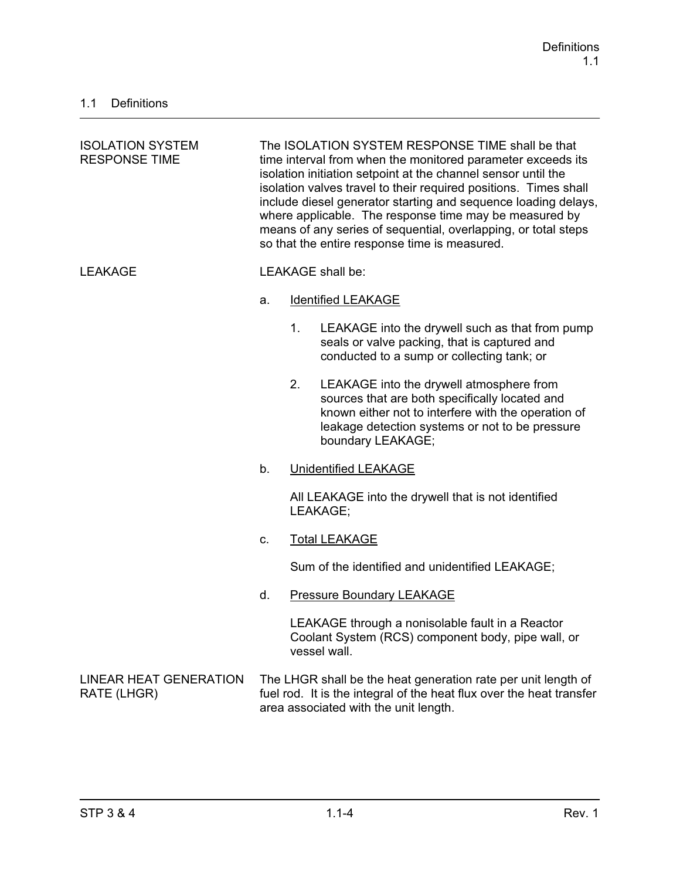| <b>ISOLATION SYSTEM</b><br><b>RESPONSE TIME</b> | The ISOLATION SYSTEM RESPONSE TIME shall be that<br>time interval from when the monitored parameter exceeds its<br>isolation initiation setpoint at the channel sensor until the<br>isolation valves travel to their required positions. Times shall<br>include diesel generator starting and sequence loading delays,<br>where applicable. The response time may be measured by<br>means of any series of sequential, overlapping, or total steps<br>so that the entire response time is measured. |                                                 |                                                                                                                                                                                                                           |
|-------------------------------------------------|-----------------------------------------------------------------------------------------------------------------------------------------------------------------------------------------------------------------------------------------------------------------------------------------------------------------------------------------------------------------------------------------------------------------------------------------------------------------------------------------------------|-------------------------------------------------|---------------------------------------------------------------------------------------------------------------------------------------------------------------------------------------------------------------------------|
| <b>LEAKAGE</b>                                  |                                                                                                                                                                                                                                                                                                                                                                                                                                                                                                     |                                                 | <b>LEAKAGE</b> shall be:                                                                                                                                                                                                  |
|                                                 | a.                                                                                                                                                                                                                                                                                                                                                                                                                                                                                                  |                                                 | <b>Identified LEAKAGE</b>                                                                                                                                                                                                 |
|                                                 |                                                                                                                                                                                                                                                                                                                                                                                                                                                                                                     | 1.                                              | LEAKAGE into the drywell such as that from pump<br>seals or valve packing, that is captured and<br>conducted to a sump or collecting tank; or                                                                             |
|                                                 |                                                                                                                                                                                                                                                                                                                                                                                                                                                                                                     | 2.                                              | LEAKAGE into the drywell atmosphere from<br>sources that are both specifically located and<br>known either not to interfere with the operation of<br>leakage detection systems or not to be pressure<br>boundary LEAKAGE; |
|                                                 | b.<br><b>Unidentified LEAKAGE</b>                                                                                                                                                                                                                                                                                                                                                                                                                                                                   |                                                 |                                                                                                                                                                                                                           |
|                                                 |                                                                                                                                                                                                                                                                                                                                                                                                                                                                                                     |                                                 | All LEAKAGE into the drywell that is not identified<br>LEAKAGE;                                                                                                                                                           |
|                                                 | C.                                                                                                                                                                                                                                                                                                                                                                                                                                                                                                  |                                                 | <b>Total LEAKAGE</b>                                                                                                                                                                                                      |
|                                                 |                                                                                                                                                                                                                                                                                                                                                                                                                                                                                                     | Sum of the identified and unidentified LEAKAGE; |                                                                                                                                                                                                                           |
|                                                 | d.                                                                                                                                                                                                                                                                                                                                                                                                                                                                                                  |                                                 | <b>Pressure Boundary LEAKAGE</b>                                                                                                                                                                                          |
|                                                 |                                                                                                                                                                                                                                                                                                                                                                                                                                                                                                     |                                                 | LEAKAGE through a nonisolable fault in a Reactor<br>Coolant System (RCS) component body, pipe wall, or<br>vessel wall.                                                                                                    |
| <b>LINEAR HEAT GENERATION</b><br>RATE (LHGR)    |                                                                                                                                                                                                                                                                                                                                                                                                                                                                                                     |                                                 | The LHGR shall be the heat generation rate per unit length of<br>fuel rod. It is the integral of the heat flux over the heat transfer<br>area associated with the unit length.                                            |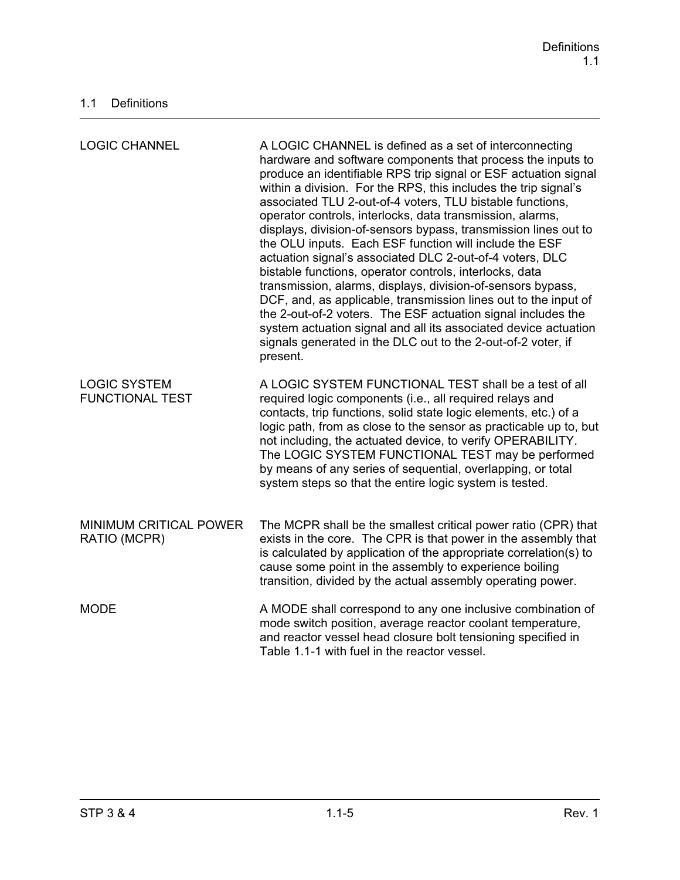| <b>LOGIC CHANNEL</b>                          | A LOGIC CHANNEL is defined as a set of interconnecting<br>hardware and software components that process the inputs to<br>produce an identifiable RPS trip signal or ESF actuation signal<br>within a division. For the RPS, this includes the trip signal's<br>associated TLU 2-out-of-4 voters, TLU bistable functions,<br>operator controls, interlocks, data transmission, alarms,<br>displays, division-of-sensors bypass, transmission lines out to<br>the OLU inputs. Each ESF function will include the ESF<br>actuation signal's associated DLC 2-out-of-4 voters, DLC<br>bistable functions, operator controls, interlocks, data<br>transmission, alarms, displays, division-of-sensors bypass,<br>DCF, and, as applicable, transmission lines out to the input of<br>the 2-out-of-2 voters. The ESF actuation signal includes the<br>system actuation signal and all its associated device actuation<br>signals generated in the DLC out to the 2-out-of-2 voter, if<br>present. |
|-----------------------------------------------|--------------------------------------------------------------------------------------------------------------------------------------------------------------------------------------------------------------------------------------------------------------------------------------------------------------------------------------------------------------------------------------------------------------------------------------------------------------------------------------------------------------------------------------------------------------------------------------------------------------------------------------------------------------------------------------------------------------------------------------------------------------------------------------------------------------------------------------------------------------------------------------------------------------------------------------------------------------------------------------------|
| <b>LOGIC SYSTEM</b><br><b>FUNCTIONAL TEST</b> | A LOGIC SYSTEM FUNCTIONAL TEST shall be a test of all<br>required logic components (i.e., all required relays and<br>contacts, trip functions, solid state logic elements, etc.) of a<br>logic path, from as close to the sensor as practicable up to, but<br>not including, the actuated device, to verify OPERABILITY.<br>The LOGIC SYSTEM FUNCTIONAL TEST may be performed<br>by means of any series of sequential, overlapping, or total<br>system steps so that the entire logic system is tested.                                                                                                                                                                                                                                                                                                                                                                                                                                                                                    |
| MINIMUM CRITICAL POWER<br>RATIO (MCPR)        | The MCPR shall be the smallest critical power ratio (CPR) that<br>exists in the core. The CPR is that power in the assembly that<br>is calculated by application of the appropriate correlation(s) to<br>cause some point in the assembly to experience boiling<br>transition, divided by the actual assembly operating power.                                                                                                                                                                                                                                                                                                                                                                                                                                                                                                                                                                                                                                                             |
| <b>MODE</b>                                   | A MODE shall correspond to any one inclusive combination of<br>mode switch position, average reactor coolant temperature,<br>and reactor vessel head closure bolt tensioning specified in<br>Table 1.1-1 with fuel in the reactor vessel.                                                                                                                                                                                                                                                                                                                                                                                                                                                                                                                                                                                                                                                                                                                                                  |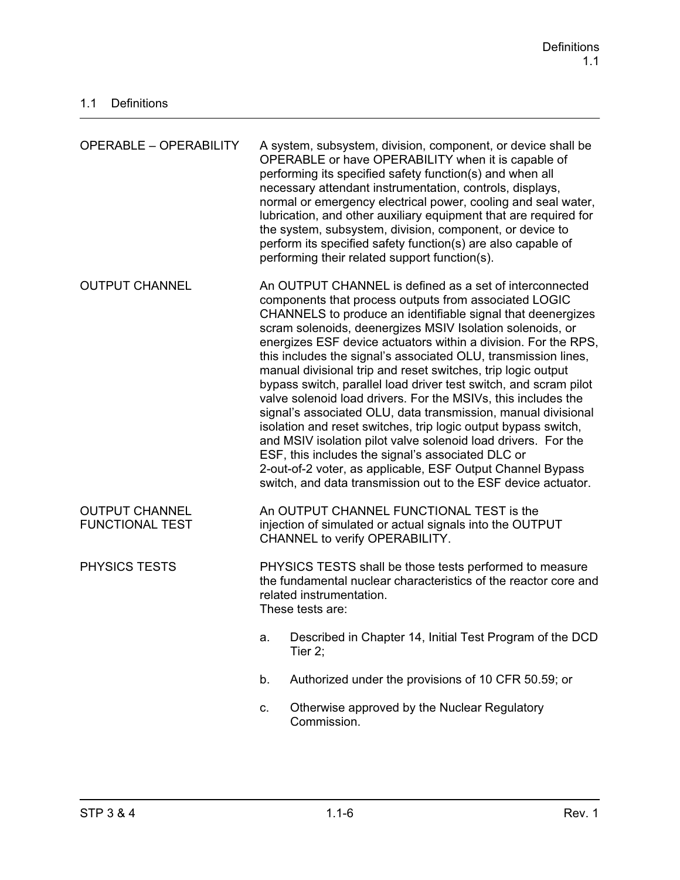| <b>OPERABLE - OPERABILITY</b>                   |                                                                                                                                                                                                                                                                                                                                                                                                                                                                                                                                                                                                                                                                                                                                                                                                                                                                                                                                                                               | A system, subsystem, division, component, or device shall be<br>OPERABLE or have OPERABILITY when it is capable of<br>performing its specified safety function(s) and when all<br>necessary attendant instrumentation, controls, displays,<br>normal or emergency electrical power, cooling and seal water,<br>lubrication, and other auxiliary equipment that are required for<br>the system, subsystem, division, component, or device to<br>perform its specified safety function(s) are also capable of<br>performing their related support function(s). |
|-------------------------------------------------|-------------------------------------------------------------------------------------------------------------------------------------------------------------------------------------------------------------------------------------------------------------------------------------------------------------------------------------------------------------------------------------------------------------------------------------------------------------------------------------------------------------------------------------------------------------------------------------------------------------------------------------------------------------------------------------------------------------------------------------------------------------------------------------------------------------------------------------------------------------------------------------------------------------------------------------------------------------------------------|--------------------------------------------------------------------------------------------------------------------------------------------------------------------------------------------------------------------------------------------------------------------------------------------------------------------------------------------------------------------------------------------------------------------------------------------------------------------------------------------------------------------------------------------------------------|
| <b>OUTPUT CHANNEL</b>                           | An OUTPUT CHANNEL is defined as a set of interconnected<br>components that process outputs from associated LOGIC<br>CHANNELS to produce an identifiable signal that deenergizes<br>scram solenoids, deenergizes MSIV Isolation solenoids, or<br>energizes ESF device actuators within a division. For the RPS,<br>this includes the signal's associated OLU, transmission lines,<br>manual divisional trip and reset switches, trip logic output<br>bypass switch, parallel load driver test switch, and scram pilot<br>valve solenoid load drivers. For the MSIVs, this includes the<br>signal's associated OLU, data transmission, manual divisional<br>isolation and reset switches, trip logic output bypass switch,<br>and MSIV isolation pilot valve solenoid load drivers. For the<br>ESF, this includes the signal's associated DLC or<br>2-out-of-2 voter, as applicable, ESF Output Channel Bypass<br>switch, and data transmission out to the ESF device actuator. |                                                                                                                                                                                                                                                                                                                                                                                                                                                                                                                                                              |
| <b>OUTPUT CHANNEL</b><br><b>FUNCTIONAL TEST</b> |                                                                                                                                                                                                                                                                                                                                                                                                                                                                                                                                                                                                                                                                                                                                                                                                                                                                                                                                                                               | An OUTPUT CHANNEL FUNCTIONAL TEST is the<br>injection of simulated or actual signals into the OUTPUT<br>CHANNEL to verify OPERABILITY.                                                                                                                                                                                                                                                                                                                                                                                                                       |
| <b>PHYSICS TESTS</b>                            | PHYSICS TESTS shall be those tests performed to measure<br>the fundamental nuclear characteristics of the reactor core and<br>related instrumentation.<br>These tests are:                                                                                                                                                                                                                                                                                                                                                                                                                                                                                                                                                                                                                                                                                                                                                                                                    |                                                                                                                                                                                                                                                                                                                                                                                                                                                                                                                                                              |
|                                                 | a.                                                                                                                                                                                                                                                                                                                                                                                                                                                                                                                                                                                                                                                                                                                                                                                                                                                                                                                                                                            | Described in Chapter 14, Initial Test Program of the DCD<br>Tier 2;                                                                                                                                                                                                                                                                                                                                                                                                                                                                                          |
|                                                 | b.                                                                                                                                                                                                                                                                                                                                                                                                                                                                                                                                                                                                                                                                                                                                                                                                                                                                                                                                                                            | Authorized under the provisions of 10 CFR 50.59; or                                                                                                                                                                                                                                                                                                                                                                                                                                                                                                          |
|                                                 | c.                                                                                                                                                                                                                                                                                                                                                                                                                                                                                                                                                                                                                                                                                                                                                                                                                                                                                                                                                                            | Otherwise approved by the Nuclear Regulatory<br>Commission.                                                                                                                                                                                                                                                                                                                                                                                                                                                                                                  |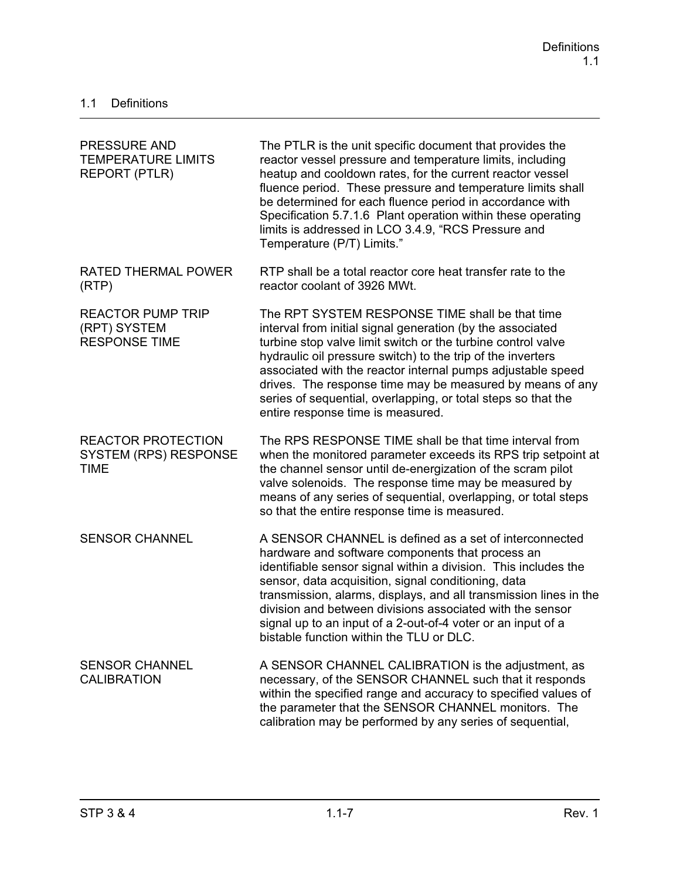| <b>PRESSURE AND</b><br><b>TEMPERATURE LIMITS</b><br><b>REPORT (PTLR)</b> | The PTLR is the unit specific document that provides the<br>reactor vessel pressure and temperature limits, including<br>heatup and cooldown rates, for the current reactor vessel<br>fluence period. These pressure and temperature limits shall<br>be determined for each fluence period in accordance with<br>Specification 5.7.1.6 Plant operation within these operating<br>limits is addressed in LCO 3.4.9, "RCS Pressure and<br>Temperature (P/T) Limits."                 |
|--------------------------------------------------------------------------|------------------------------------------------------------------------------------------------------------------------------------------------------------------------------------------------------------------------------------------------------------------------------------------------------------------------------------------------------------------------------------------------------------------------------------------------------------------------------------|
| RATED THERMAL POWER<br>(RTP)                                             | RTP shall be a total reactor core heat transfer rate to the<br>reactor coolant of 3926 MWt.                                                                                                                                                                                                                                                                                                                                                                                        |
| <b>REACTOR PUMP TRIP</b><br>(RPT) SYSTEM<br><b>RESPONSE TIME</b>         | The RPT SYSTEM RESPONSE TIME shall be that time<br>interval from initial signal generation (by the associated<br>turbine stop valve limit switch or the turbine control valve<br>hydraulic oil pressure switch) to the trip of the inverters<br>associated with the reactor internal pumps adjustable speed<br>drives. The response time may be measured by means of any<br>series of sequential, overlapping, or total steps so that the<br>entire response time is measured.     |
| <b>REACTOR PROTECTION</b><br><b>SYSTEM (RPS) RESPONSE</b><br><b>TIME</b> | The RPS RESPONSE TIME shall be that time interval from<br>when the monitored parameter exceeds its RPS trip setpoint at<br>the channel sensor until de-energization of the scram pilot<br>valve solenoids. The response time may be measured by<br>means of any series of sequential, overlapping, or total steps<br>so that the entire response time is measured.                                                                                                                 |
| <b>SENSOR CHANNEL</b>                                                    | A SENSOR CHANNEL is defined as a set of interconnected<br>hardware and software components that process an<br>identifiable sensor signal within a division. This includes the<br>sensor, data acquisition, signal conditioning, data<br>transmission, alarms, displays, and all transmission lines in the<br>division and between divisions associated with the sensor<br>signal up to an input of a 2-out-of-4 voter or an input of a<br>bistable function within the TLU or DLC. |
| <b>SENSOR CHANNEL</b><br><b>CALIBRATION</b>                              | A SENSOR CHANNEL CALIBRATION is the adjustment, as<br>necessary, of the SENSOR CHANNEL such that it responds<br>within the specified range and accuracy to specified values of<br>the parameter that the SENSOR CHANNEL monitors. The<br>calibration may be performed by any series of sequential,                                                                                                                                                                                 |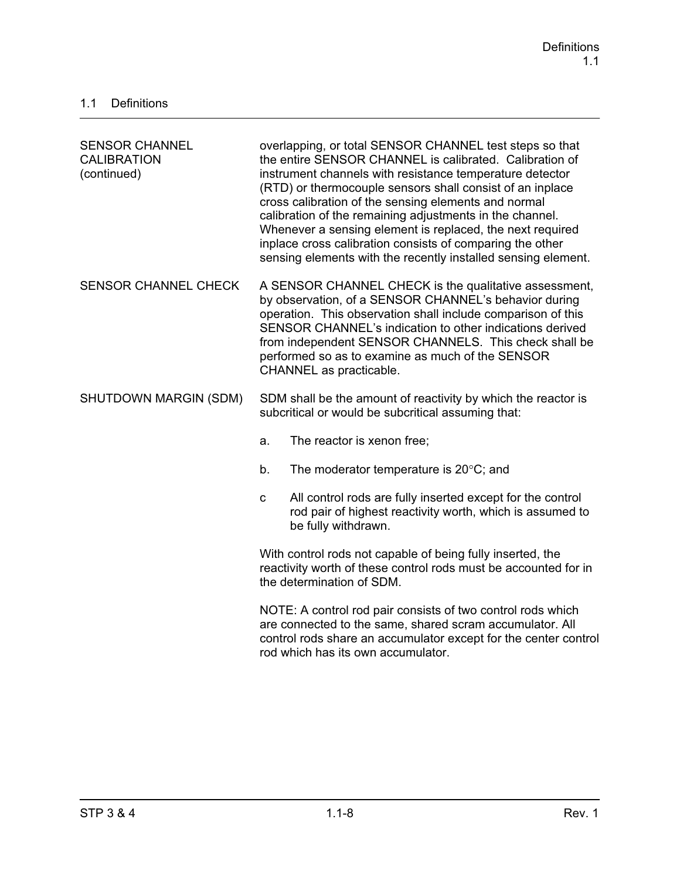| <b>SENSOR CHANNEL</b><br><b>CALIBRATION</b><br>(continued) | overlapping, or total SENSOR CHANNEL test steps so that<br>the entire SENSOR CHANNEL is calibrated. Calibration of<br>instrument channels with resistance temperature detector<br>(RTD) or thermocouple sensors shall consist of an inplace<br>cross calibration of the sensing elements and normal<br>calibration of the remaining adjustments in the channel.<br>Whenever a sensing element is replaced, the next required<br>inplace cross calibration consists of comparing the other<br>sensing elements with the recently installed sensing element. |  |
|------------------------------------------------------------|------------------------------------------------------------------------------------------------------------------------------------------------------------------------------------------------------------------------------------------------------------------------------------------------------------------------------------------------------------------------------------------------------------------------------------------------------------------------------------------------------------------------------------------------------------|--|
| <b>SENSOR CHANNEL CHECK</b>                                | A SENSOR CHANNEL CHECK is the qualitative assessment,<br>by observation, of a SENSOR CHANNEL's behavior during<br>operation. This observation shall include comparison of this<br>SENSOR CHANNEL's indication to other indications derived<br>from independent SENSOR CHANNELS. This check shall be<br>performed so as to examine as much of the SENSOR<br>CHANNEL as practicable.                                                                                                                                                                         |  |
| SHUTDOWN MARGIN (SDM)                                      | SDM shall be the amount of reactivity by which the reactor is<br>subcritical or would be subcritical assuming that:                                                                                                                                                                                                                                                                                                                                                                                                                                        |  |
|                                                            | The reactor is xenon free;<br>a.                                                                                                                                                                                                                                                                                                                                                                                                                                                                                                                           |  |
|                                                            | b.<br>The moderator temperature is $20^{\circ}$ C; and                                                                                                                                                                                                                                                                                                                                                                                                                                                                                                     |  |
|                                                            | All control rods are fully inserted except for the control<br>$\mathbf{C}$<br>rod pair of highest reactivity worth, which is assumed to<br>be fully withdrawn.                                                                                                                                                                                                                                                                                                                                                                                             |  |
|                                                            | With control rods not capable of being fully inserted, the<br>reactivity worth of these control rods must be accounted for in<br>the determination of SDM.                                                                                                                                                                                                                                                                                                                                                                                                 |  |
|                                                            | NOTE: A control rod pair consists of two control rods which<br>are connected to the same, shared scram accumulator. All<br>control rods share an accumulator except for the center control<br>rod which has its own accumulator.                                                                                                                                                                                                                                                                                                                           |  |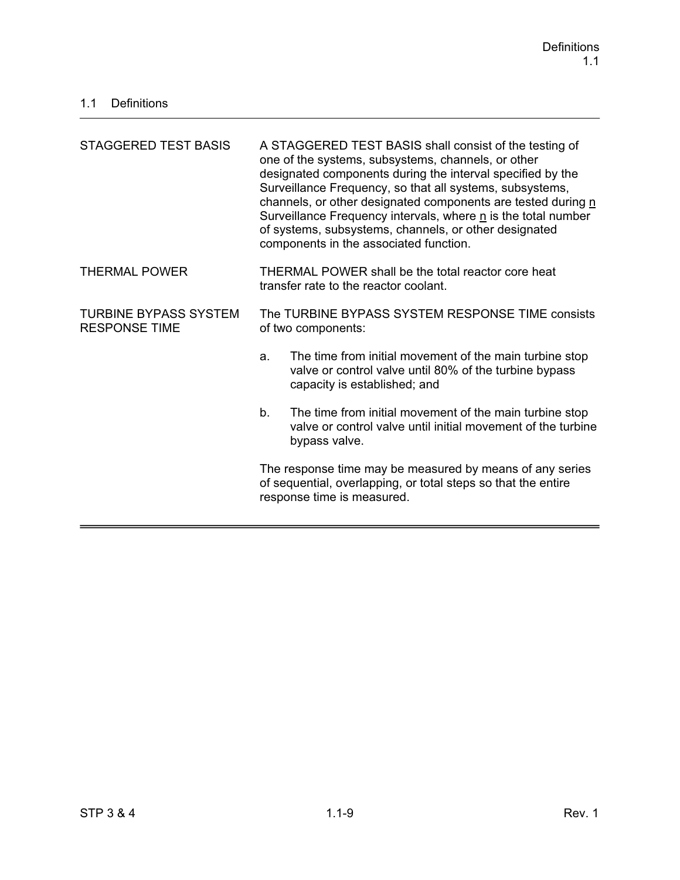| <b>STAGGERED TEST BASIS</b>                          | A STAGGERED TEST BASIS shall consist of the testing of<br>one of the systems, subsystems, channels, or other<br>designated components during the interval specified by the<br>Surveillance Frequency, so that all systems, subsystems,<br>channels, or other designated components are tested during n<br>Surveillance Frequency intervals, where n is the total number<br>of systems, subsystems, channels, or other designated<br>components in the associated function. |  |  |
|------------------------------------------------------|----------------------------------------------------------------------------------------------------------------------------------------------------------------------------------------------------------------------------------------------------------------------------------------------------------------------------------------------------------------------------------------------------------------------------------------------------------------------------|--|--|
| <b>THERMAL POWER</b>                                 | THERMAL POWER shall be the total reactor core heat<br>transfer rate to the reactor coolant.                                                                                                                                                                                                                                                                                                                                                                                |  |  |
| <b>TURBINE BYPASS SYSTEM</b><br><b>RESPONSE TIME</b> | The TURBINE BYPASS SYSTEM RESPONSE TIME consists<br>of two components:                                                                                                                                                                                                                                                                                                                                                                                                     |  |  |
|                                                      | The time from initial movement of the main turbine stop<br>a.<br>valve or control valve until 80% of the turbine bypass<br>capacity is established; and                                                                                                                                                                                                                                                                                                                    |  |  |
|                                                      | b.<br>The time from initial movement of the main turbine stop<br>valve or control valve until initial movement of the turbine<br>bypass valve.                                                                                                                                                                                                                                                                                                                             |  |  |
|                                                      | The response time may be measured by means of any series<br>of sequential, overlapping, or total steps so that the entire<br>response time is measured.                                                                                                                                                                                                                                                                                                                    |  |  |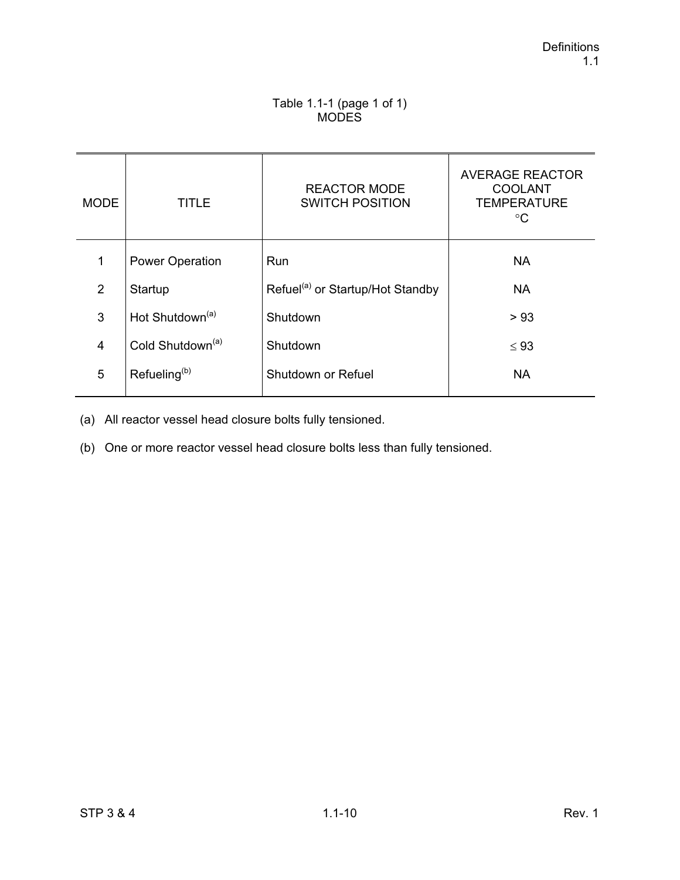## Table 1.1-1 (page 1 of 1) **MODES**

| <b>MODE</b>    | TITLE                        | <b>REACTOR MODE</b><br><b>SWITCH POSITION</b> | <b>AVERAGE REACTOR</b><br><b>COOLANT</b><br><b>TEMPERATURE</b><br>$^{\circ}C$ |
|----------------|------------------------------|-----------------------------------------------|-------------------------------------------------------------------------------|
| 1              | <b>Power Operation</b>       | <b>Run</b>                                    | <b>NA</b>                                                                     |
| 2              | Startup                      | Refuel <sup>(a)</sup> or Startup/Hot Standby  | <b>NA</b>                                                                     |
| 3              | Hot Shutdown <sup>(a)</sup>  | Shutdown                                      | > 93                                                                          |
| $\overline{4}$ | Cold Shutdown <sup>(a)</sup> | Shutdown                                      | $\leq 93$                                                                     |
| 5              | Refueling <sup>(b)</sup>     | Shutdown or Refuel                            | <b>NA</b>                                                                     |

(a) All reactor vessel head closure bolts fully tensioned.

(b) One or more reactor vessel head closure bolts less than fully tensioned.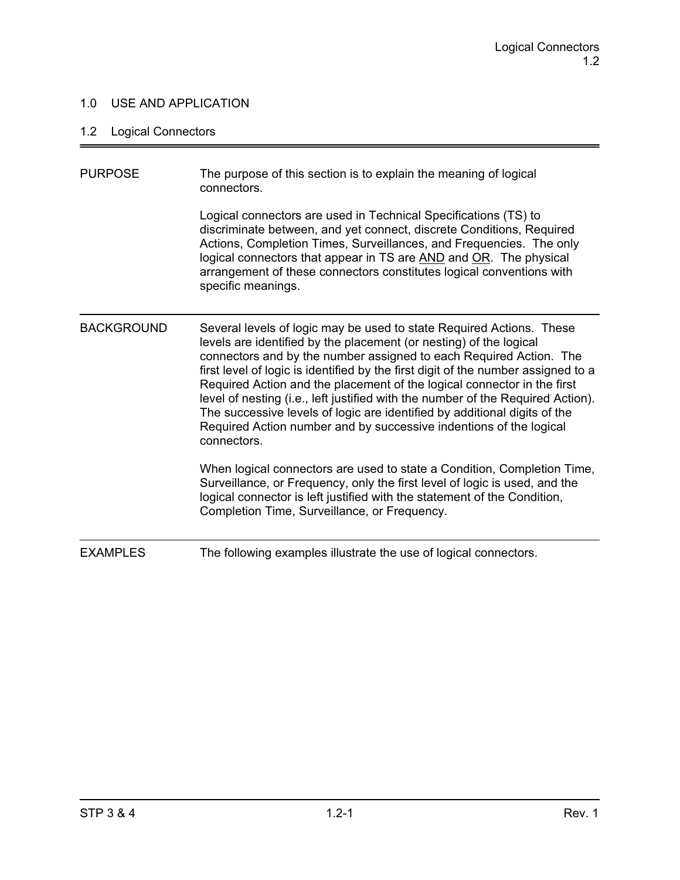## 1.0 USE AND APPLICATION

# 1.2 Logical Connectors

| <b>PURPOSE</b>    | The purpose of this section is to explain the meaning of logical<br>connectors.<br>Logical connectors are used in Technical Specifications (TS) to                                                                                                                                                                                                                                                                                                                                                                                                                                                                                    |
|-------------------|---------------------------------------------------------------------------------------------------------------------------------------------------------------------------------------------------------------------------------------------------------------------------------------------------------------------------------------------------------------------------------------------------------------------------------------------------------------------------------------------------------------------------------------------------------------------------------------------------------------------------------------|
|                   | discriminate between, and yet connect, discrete Conditions, Required<br>Actions, Completion Times, Surveillances, and Frequencies. The only<br>logical connectors that appear in TS are AND and OR. The physical<br>arrangement of these connectors constitutes logical conventions with<br>specific meanings.                                                                                                                                                                                                                                                                                                                        |
| <b>BACKGROUND</b> | Several levels of logic may be used to state Required Actions. These<br>levels are identified by the placement (or nesting) of the logical<br>connectors and by the number assigned to each Required Action. The<br>first level of logic is identified by the first digit of the number assigned to a<br>Required Action and the placement of the logical connector in the first<br>level of nesting (i.e., left justified with the number of the Required Action).<br>The successive levels of logic are identified by additional digits of the<br>Required Action number and by successive indentions of the logical<br>connectors. |
|                   | When logical connectors are used to state a Condition, Completion Time,<br>Surveillance, or Frequency, only the first level of logic is used, and the<br>logical connector is left justified with the statement of the Condition,<br>Completion Time, Surveillance, or Frequency.                                                                                                                                                                                                                                                                                                                                                     |
| <b>EXAMPLES</b>   | The following examples illustrate the use of logical connectors.                                                                                                                                                                                                                                                                                                                                                                                                                                                                                                                                                                      |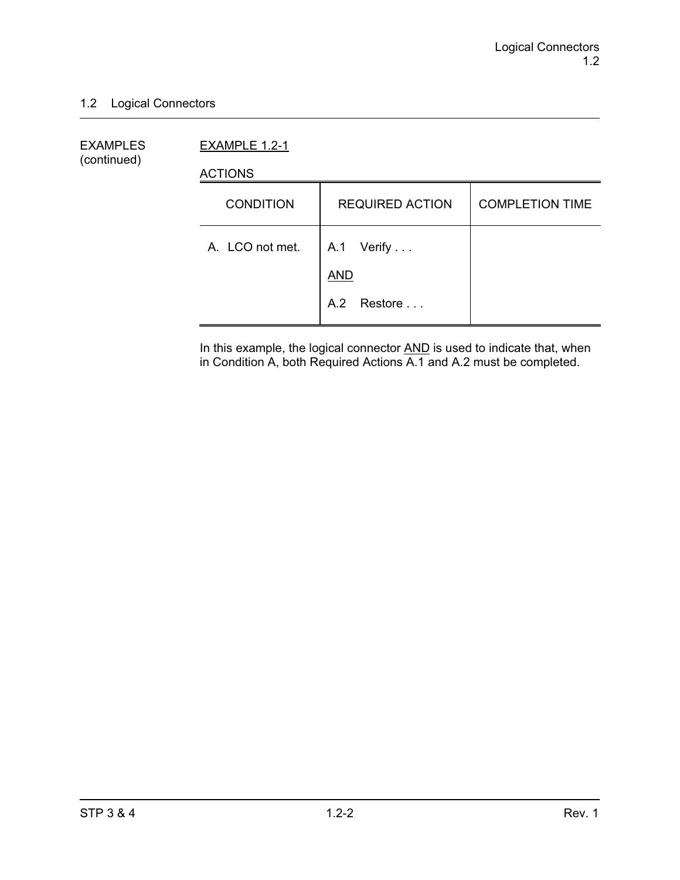## 1.2 Logical Connectors

EXAMPLES EXAMPLE 1.2-1 (continued)

ACTIONS

| <b>CONDITION</b> | <b>REQUIRED ACTION</b>   | <b>COMPLETION TIME</b> |
|------------------|--------------------------|------------------------|
| A. LCO not met.  | A.1 Verify<br><b>AND</b> |                        |
|                  | A.2 Restore              |                        |

In this example, the logical connector AND is used to indicate that, when in Condition A, both Required Actions A.1 and A.2 must be completed.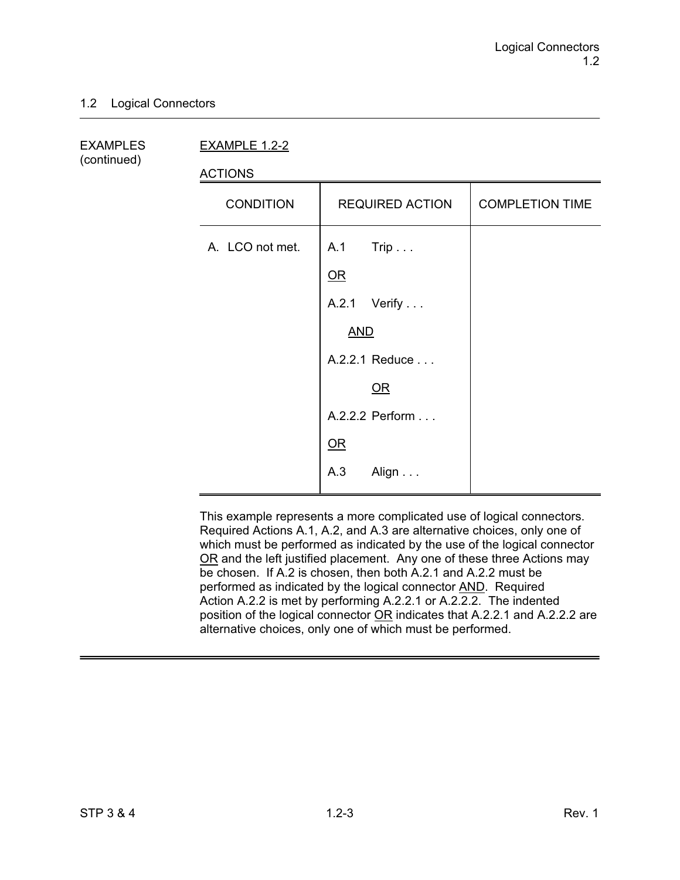#### 1.2 Logical Connectors

(continued)

EXAMPLES EXAMPLE 1.2-2

ACTIONS

| <b>CONDITION</b> | <b>REQUIRED ACTION</b>                                                                                 | <b>COMPLETION TIME</b> |
|------------------|--------------------------------------------------------------------------------------------------------|------------------------|
| A. LCO not met.  | A.1 Trip<br>$OR$<br>A.2.1 Verify<br><b>AND</b><br>A.2.2.1 Reduce<br><u>OR</u><br>A.2.2.2 Perform<br>OR |                        |
|                  | A.3<br>Align                                                                                           |                        |

This example represents a more complicated use of logical connectors. Required Actions A.1, A.2, and A.3 are alternative choices, only one of which must be performed as indicated by the use of the logical connector OR and the left justified placement. Any one of these three Actions may be chosen. If A.2 is chosen, then both A.2.1 and A.2.2 must be performed as indicated by the logical connector AND. Required Action A.2.2 is met by performing A.2.2.1 or A.2.2.2. The indented position of the logical connector OR indicates that A.2.2.1 and A.2.2.2 are alternative choices, only one of which must be performed.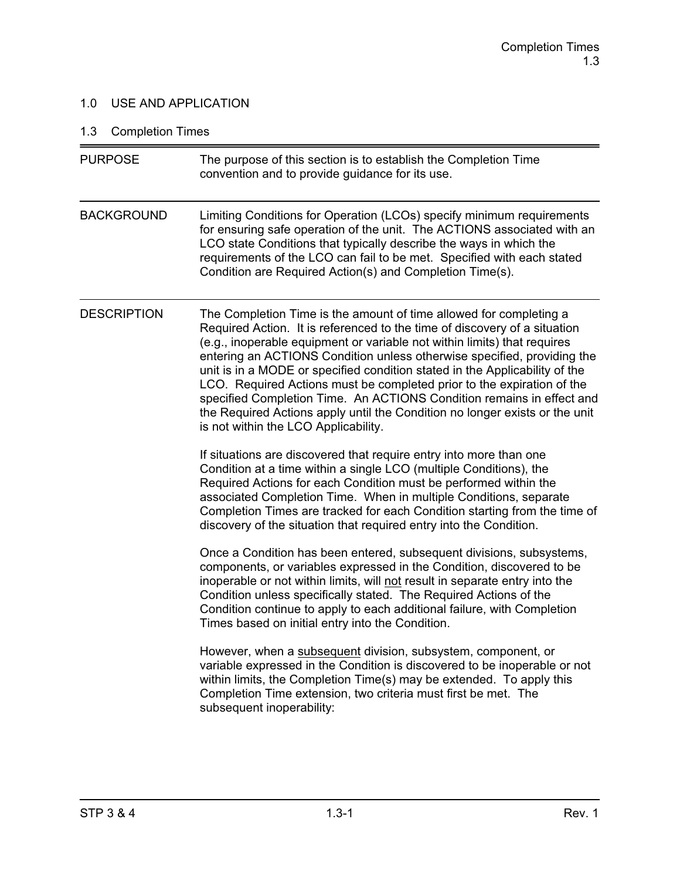## 1.0 USE AND APPLICATION

# 1.3 Completion Times

| <b>PURPOSE</b>     | The purpose of this section is to establish the Completion Time<br>convention and to provide guidance for its use.                                                                                                                                                                                                                                                                                                                                                                                                                                                                                                                                              |
|--------------------|-----------------------------------------------------------------------------------------------------------------------------------------------------------------------------------------------------------------------------------------------------------------------------------------------------------------------------------------------------------------------------------------------------------------------------------------------------------------------------------------------------------------------------------------------------------------------------------------------------------------------------------------------------------------|
| <b>BACKGROUND</b>  | Limiting Conditions for Operation (LCOs) specify minimum requirements<br>for ensuring safe operation of the unit. The ACTIONS associated with an<br>LCO state Conditions that typically describe the ways in which the<br>requirements of the LCO can fail to be met. Specified with each stated<br>Condition are Required Action(s) and Completion Time(s).                                                                                                                                                                                                                                                                                                    |
| <b>DESCRIPTION</b> | The Completion Time is the amount of time allowed for completing a<br>Required Action. It is referenced to the time of discovery of a situation<br>(e.g., inoperable equipment or variable not within limits) that requires<br>entering an ACTIONS Condition unless otherwise specified, providing the<br>unit is in a MODE or specified condition stated in the Applicability of the<br>LCO. Required Actions must be completed prior to the expiration of the<br>specified Completion Time. An ACTIONS Condition remains in effect and<br>the Required Actions apply until the Condition no longer exists or the unit<br>is not within the LCO Applicability. |
|                    | If situations are discovered that require entry into more than one<br>Condition at a time within a single LCO (multiple Conditions), the<br>Required Actions for each Condition must be performed within the<br>associated Completion Time. When in multiple Conditions, separate<br>Completion Times are tracked for each Condition starting from the time of<br>discovery of the situation that required entry into the Condition.                                                                                                                                                                                                                            |
|                    | Once a Condition has been entered, subsequent divisions, subsystems,<br>components, or variables expressed in the Condition, discovered to be<br>inoperable or not within limits, will not result in separate entry into the<br>Condition unless specifically stated. The Required Actions of the<br>Condition continue to apply to each additional failure, with Completion<br>Times based on initial entry into the Condition.                                                                                                                                                                                                                                |
|                    | However, when a subsequent division, subsystem, component, or<br>variable expressed in the Condition is discovered to be inoperable or not<br>within limits, the Completion Time(s) may be extended. To apply this<br>Completion Time extension, two criteria must first be met. The<br>subsequent inoperability:                                                                                                                                                                                                                                                                                                                                               |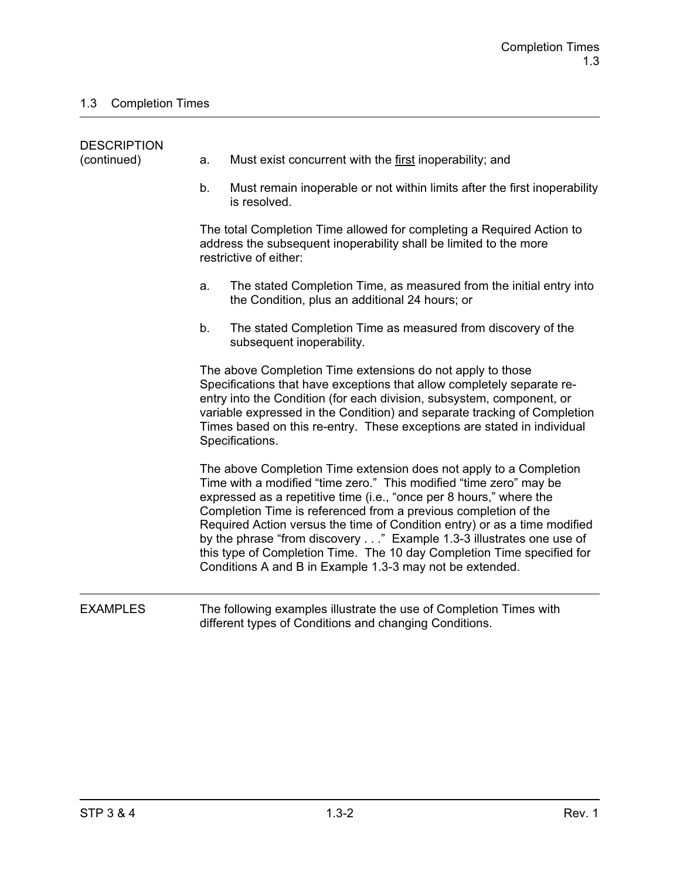| <b>DESCRIPTION</b> |    |                                                                                                                                                                                                                                                                                                                                                                                                                                                                                                                                                                              |
|--------------------|----|------------------------------------------------------------------------------------------------------------------------------------------------------------------------------------------------------------------------------------------------------------------------------------------------------------------------------------------------------------------------------------------------------------------------------------------------------------------------------------------------------------------------------------------------------------------------------|
| (continued)        | a. | Must exist concurrent with the first inoperability; and                                                                                                                                                                                                                                                                                                                                                                                                                                                                                                                      |
|                    | b. | Must remain inoperable or not within limits after the first inoperability<br>is resolved.                                                                                                                                                                                                                                                                                                                                                                                                                                                                                    |
|                    |    | The total Completion Time allowed for completing a Required Action to<br>address the subsequent inoperability shall be limited to the more<br>restrictive of either:                                                                                                                                                                                                                                                                                                                                                                                                         |
|                    | a. | The stated Completion Time, as measured from the initial entry into<br>the Condition, plus an additional 24 hours; or                                                                                                                                                                                                                                                                                                                                                                                                                                                        |
|                    | b. | The stated Completion Time as measured from discovery of the<br>subsequent inoperability.                                                                                                                                                                                                                                                                                                                                                                                                                                                                                    |
|                    |    | The above Completion Time extensions do not apply to those<br>Specifications that have exceptions that allow completely separate re-<br>entry into the Condition (for each division, subsystem, component, or<br>variable expressed in the Condition) and separate tracking of Completion<br>Times based on this re-entry. These exceptions are stated in individual<br>Specifications.                                                                                                                                                                                      |
|                    |    | The above Completion Time extension does not apply to a Completion<br>Time with a modified "time zero." This modified "time zero" may be<br>expressed as a repetitive time (i.e., "once per 8 hours," where the<br>Completion Time is referenced from a previous completion of the<br>Required Action versus the time of Condition entry) or as a time modified<br>by the phrase "from discovery" Example 1.3-3 illustrates one use of<br>this type of Completion Time. The 10 day Completion Time specified for<br>Conditions A and B in Example 1.3-3 may not be extended. |
| <b>EXAMPLES</b>    |    | The following examples illustrate the use of Completion Times with                                                                                                                                                                                                                                                                                                                                                                                                                                                                                                           |

different types of Conditions and changing Conditions.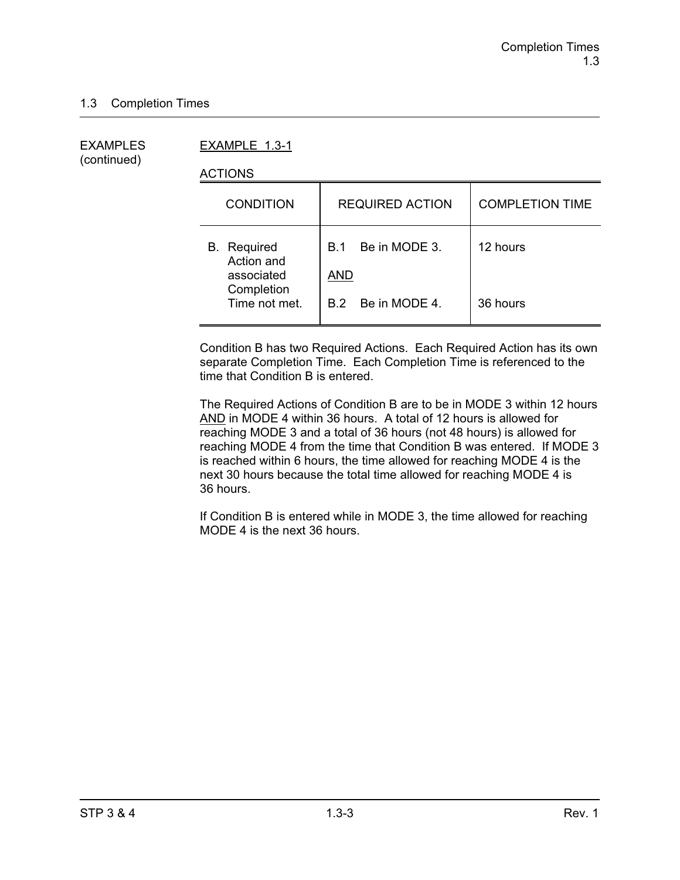(continued)

EXAMPLES EXAMPLE 1.3-1

ACTIONS

| <b>CONDITION</b>                               | <b>REQUIRED ACTION</b>             | <b>COMPLETION TIME</b> |
|------------------------------------------------|------------------------------------|------------------------|
| <b>B.</b> Required<br>Action and<br>associated | Be in MODE 3.<br>B 1<br><b>AND</b> | 12 hours               |
| Completion<br>Time not met.                    | B.2 Be in MODE 4.                  | 36 hours               |

Condition B has two Required Actions. Each Required Action has its own separate Completion Time. Each Completion Time is referenced to the time that Condition B is entered.

The Required Actions of Condition B are to be in MODE 3 within 12 hours AND in MODE 4 within 36 hours. A total of 12 hours is allowed for reaching MODE 3 and a total of 36 hours (not 48 hours) is allowed for reaching MODE 4 from the time that Condition B was entered. If MODE 3 is reached within 6 hours, the time allowed for reaching MODE 4 is the next 30 hours because the total time allowed for reaching MODE 4 is 36 hours.

If Condition B is entered while in MODE 3, the time allowed for reaching MODE 4 is the next 36 hours.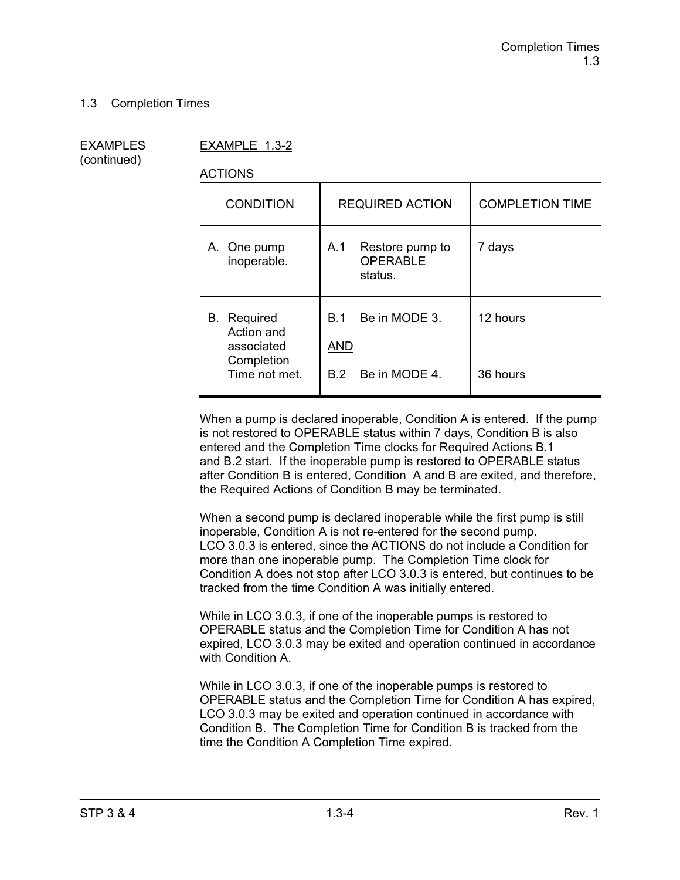(continued)

EXAMPLES EXAMPLE 1.3-2

ACTIONS

| <b>CONDITION</b>                                                              | <b>REQUIRED ACTION</b>                                  | <b>COMPLETION TIME</b> |
|-------------------------------------------------------------------------------|---------------------------------------------------------|------------------------|
| A. One pump<br>inoperable.                                                    | A.1<br>Restore pump to<br><b>OPERABLE</b><br>status.    | 7 days                 |
| <b>B.</b> Required<br>Action and<br>associated<br>Completion<br>Time not met. | Be in MODE 3.<br>B.1<br><b>AND</b><br>B.2 Be in MODE 4. | 12 hours<br>36 hours   |

When a pump is declared inoperable, Condition A is entered. If the pump is not restored to OPERABLE status within 7 days, Condition B is also entered and the Completion Time clocks for Required Actions B.1 and B.2 start. If the inoperable pump is restored to OPERABLE status after Condition B is entered, Condition A and B are exited, and therefore, the Required Actions of Condition B may be terminated.

When a second pump is declared inoperable while the first pump is still inoperable, Condition A is not re-entered for the second pump. LCO 3.0.3 is entered, since the ACTIONS do not include a Condition for more than one inoperable pump. The Completion Time clock for Condition A does not stop after LCO 3.0.3 is entered, but continues to be tracked from the time Condition A was initially entered.

While in LCO 3.0.3, if one of the inoperable pumps is restored to OPERABLE status and the Completion Time for Condition A has not expired, LCO 3.0.3 may be exited and operation continued in accordance with Condition A.

While in LCO 3.0.3, if one of the inoperable pumps is restored to OPERABLE status and the Completion Time for Condition A has expired, LCO 3.0.3 may be exited and operation continued in accordance with Condition B. The Completion Time for Condition B is tracked from the time the Condition A Completion Time expired.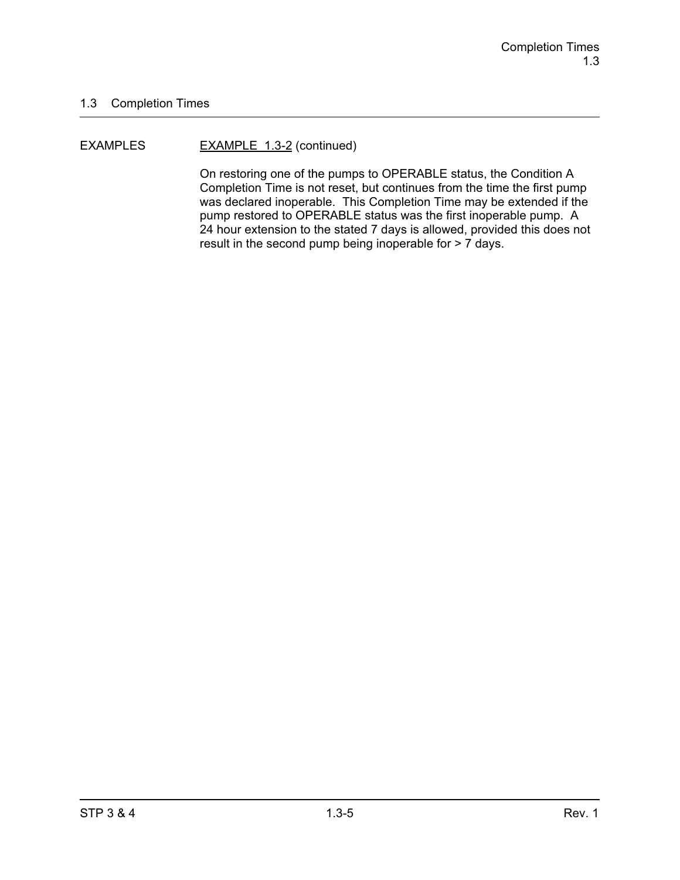#### EXAMPLES EXAMPLE 1.3-2 (continued)

On restoring one of the pumps to OPERABLE status, the Condition A Completion Time is not reset, but continues from the time the first pump was declared inoperable. This Completion Time may be extended if the pump restored to OPERABLE status was the first inoperable pump. A 24 hour extension to the stated 7 days is allowed, provided this does not result in the second pump being inoperable for > 7 days.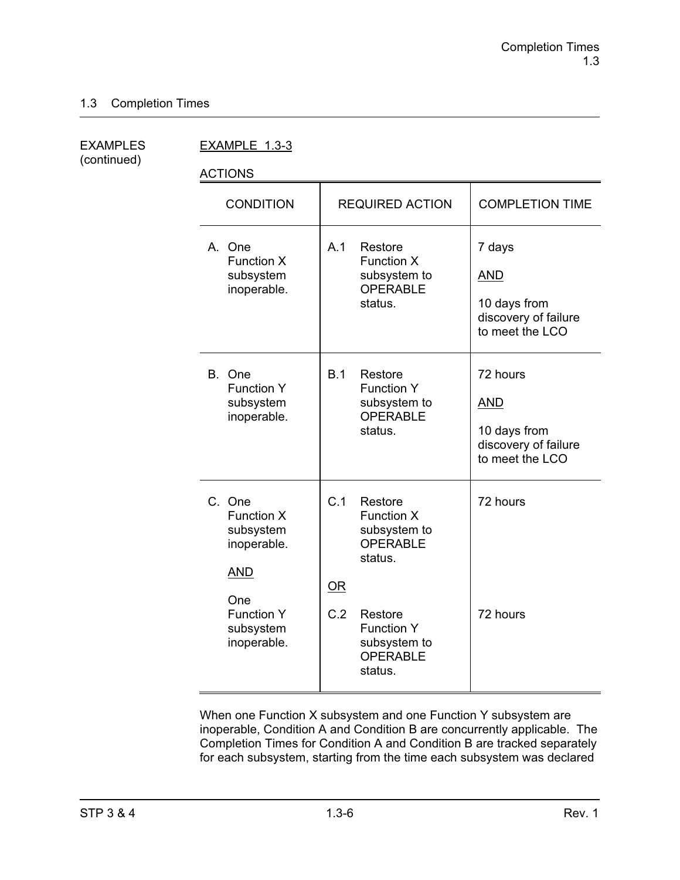| EXAMPLES    |
|-------------|
| (continued) |

EXAMPLE 1.3-3

ACTIONS

| <b>CONDITION</b>                                                                                                              | <b>REQUIRED ACTION</b>                                                                                                                                                | <b>COMPLETION TIME</b>                                                            |
|-------------------------------------------------------------------------------------------------------------------------------|-----------------------------------------------------------------------------------------------------------------------------------------------------------------------|-----------------------------------------------------------------------------------|
| A. One<br><b>Function X</b><br>subsystem<br>inoperable.                                                                       | A.1<br>Restore<br><b>Function X</b><br>subsystem to<br><b>OPERABLE</b><br>status.                                                                                     | 7 days<br><b>AND</b><br>10 days from<br>discovery of failure<br>to meet the LCO   |
| B. One<br><b>Function Y</b><br>subsystem<br>inoperable.                                                                       | B.1<br>Restore<br><b>Function Y</b><br>subsystem to<br><b>OPERABLE</b><br>status.                                                                                     | 72 hours<br><b>AND</b><br>10 days from<br>discovery of failure<br>to meet the LCO |
| C. One<br><b>Function X</b><br>subsystem<br>inoperable.<br><b>AND</b><br>One<br><b>Function Y</b><br>subsystem<br>inoperable. | C.1<br>Restore<br>Function X<br>subsystem to<br><b>OPERABLE</b><br>status.<br>OR<br>C.2<br>Restore<br><b>Function Y</b><br>subsystem to<br><b>OPERABLE</b><br>status. | 72 hours<br>72 hours                                                              |

When one Function X subsystem and one Function Y subsystem are inoperable, Condition A and Condition B are concurrently applicable. The Completion Times for Condition A and Condition B are tracked separately for each subsystem, starting from the time each subsystem was declared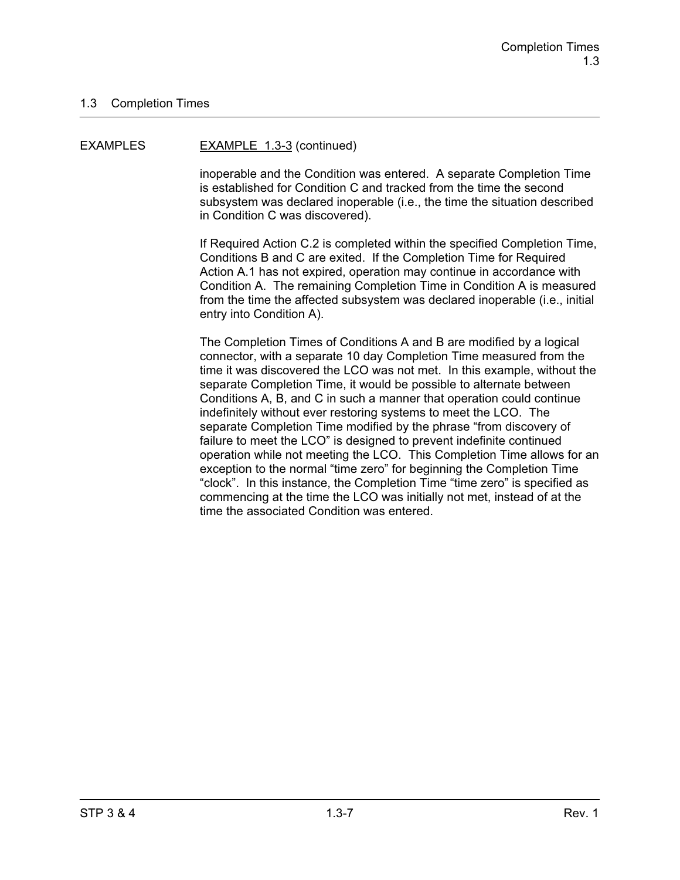#### EXAMPLES EXAMPLE 1.3-3 (continued)

inoperable and the Condition was entered. A separate Completion Time is established for Condition C and tracked from the time the second subsystem was declared inoperable (i.e., the time the situation described in Condition C was discovered).

If Required Action C.2 is completed within the specified Completion Time, Conditions B and C are exited. If the Completion Time for Required Action A.1 has not expired, operation may continue in accordance with Condition A. The remaining Completion Time in Condition A is measured from the time the affected subsystem was declared inoperable (i.e., initial entry into Condition A).

The Completion Times of Conditions A and B are modified by a logical connector, with a separate 10 day Completion Time measured from the time it was discovered the LCO was not met. In this example, without the separate Completion Time, it would be possible to alternate between Conditions A, B, and C in such a manner that operation could continue indefinitely without ever restoring systems to meet the LCO. The separate Completion Time modified by the phrase "from discovery of failure to meet the LCO" is designed to prevent indefinite continued operation while not meeting the LCO. This Completion Time allows for an exception to the normal "time zero" for beginning the Completion Time "clock". In this instance, the Completion Time "time zero" is specified as commencing at the time the LCO was initially not met, instead of at the time the associated Condition was entered.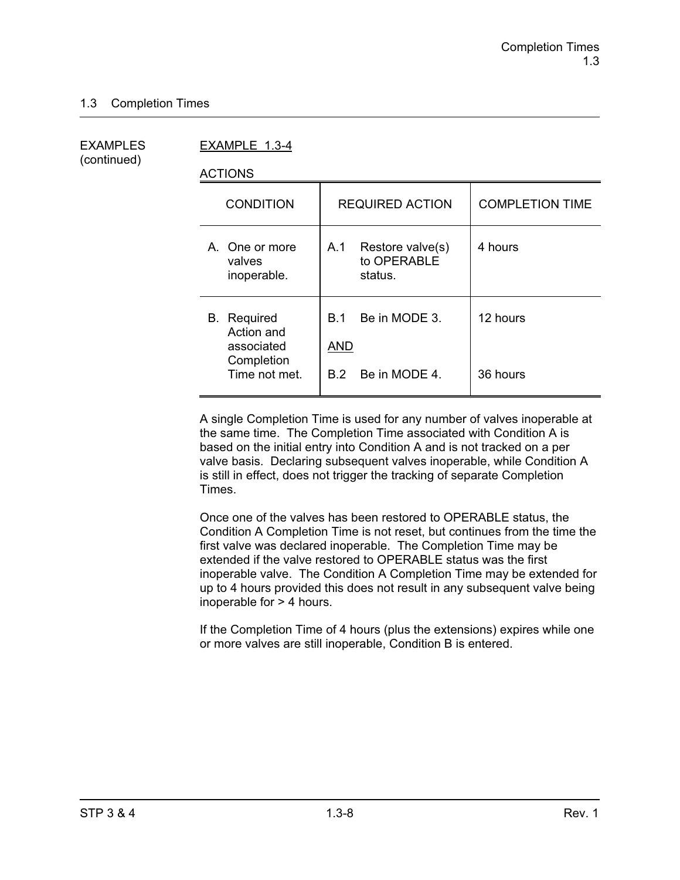**EXAMPLES** (continued)

| EXAMPLES    | EXAMPLE 1.3-4                                                |                   |                                            |                        |
|-------------|--------------------------------------------------------------|-------------------|--------------------------------------------|------------------------|
| (continued) | <b>ACTIONS</b>                                               |                   |                                            |                        |
|             | <b>CONDITION</b>                                             |                   | <b>REQUIRED ACTION</b>                     | <b>COMPLETION TIME</b> |
|             | A. One or more<br>valves<br>inoperable.                      | A.1               | Restore valve(s)<br>to OPERABLE<br>status. | 4 hours                |
|             | <b>B.</b> Required<br>Action and<br>associated<br>Completion | B.1<br><b>AND</b> | Be in MODE 3.                              | 12 hours               |
|             | Time not met.                                                | B.2               | Be in MODE 4.                              | 36 hours               |

A single Completion Time is used for any number of valves inoperable at the same time. The Completion Time associated with Condition A is based on the initial entry into Condition A and is not tracked on a per valve basis. Declaring subsequent valves inoperable, while Condition A is still in effect, does not trigger the tracking of separate Completion Times.

Once one of the valves has been restored to OPERABLE status, the Condition A Completion Time is not reset, but continues from the time the first valve was declared inoperable. The Completion Time may be extended if the valve restored to OPERABLE status was the first inoperable valve. The Condition A Completion Time may be extended for up to 4 hours provided this does not result in any subsequent valve being inoperable for > 4 hours.

If the Completion Time of 4 hours (plus the extensions) expires while one or more valves are still inoperable, Condition B is entered.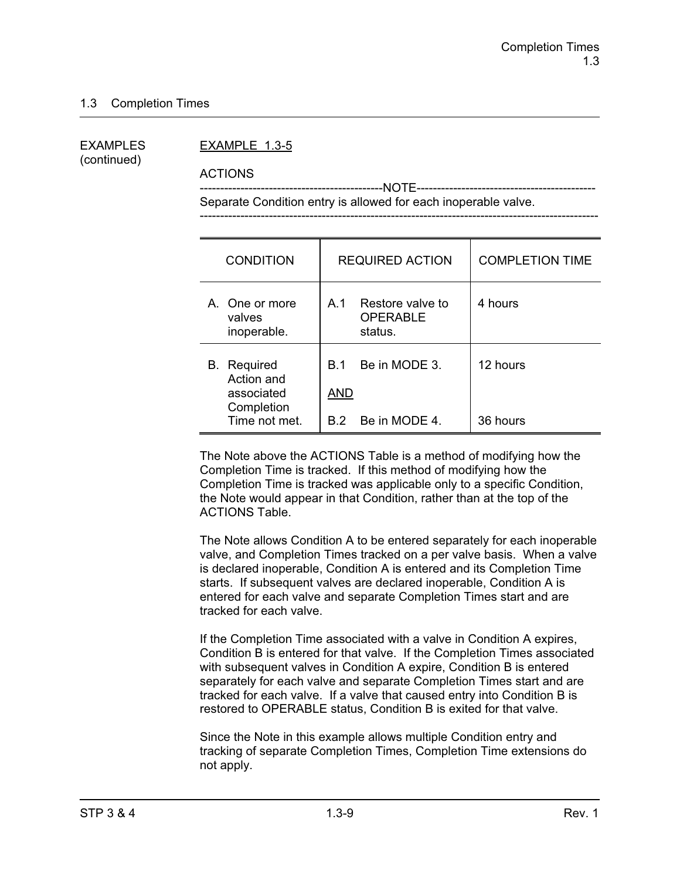# (continued)

#### EXAMPLES EXAMPLE 1.3-5

ACTIONS

 ---------------------------------------------NOTE-------------------------------------------- Separate Condition entry is allowed for each inoperable valve.

--------------------------------------------------------------------------------------------------

| <b>CONDITION</b>                                         | <b>REQUIRED ACTION</b>                                | <b>COMPLETION TIME</b> |
|----------------------------------------------------------|-------------------------------------------------------|------------------------|
| A. One or more<br>valves<br>inoperable.                  | A 1<br>Restore valve to<br><b>OPERABLE</b><br>status. | 4 hours                |
| Required<br>В.<br>Action and<br>associated<br>Completion | Be in MODE 3.<br>B 1<br>AND                           | 12 hours               |
| Time not met.                                            | Be in MODE 4.<br>B 2                                  | 36 hours               |

The Note above the ACTIONS Table is a method of modifying how the Completion Time is tracked. If this method of modifying how the Completion Time is tracked was applicable only to a specific Condition, the Note would appear in that Condition, rather than at the top of the ACTIONS Table.

The Note allows Condition A to be entered separately for each inoperable valve, and Completion Times tracked on a per valve basis. When a valve is declared inoperable, Condition A is entered and its Completion Time starts. If subsequent valves are declared inoperable, Condition A is entered for each valve and separate Completion Times start and are tracked for each valve.

If the Completion Time associated with a valve in Condition A expires, Condition B is entered for that valve. If the Completion Times associated with subsequent valves in Condition A expire, Condition B is entered separately for each valve and separate Completion Times start and are tracked for each valve. If a valve that caused entry into Condition B is restored to OPERABLE status, Condition B is exited for that valve.

Since the Note in this example allows multiple Condition entry and tracking of separate Completion Times, Completion Time extensions do not apply.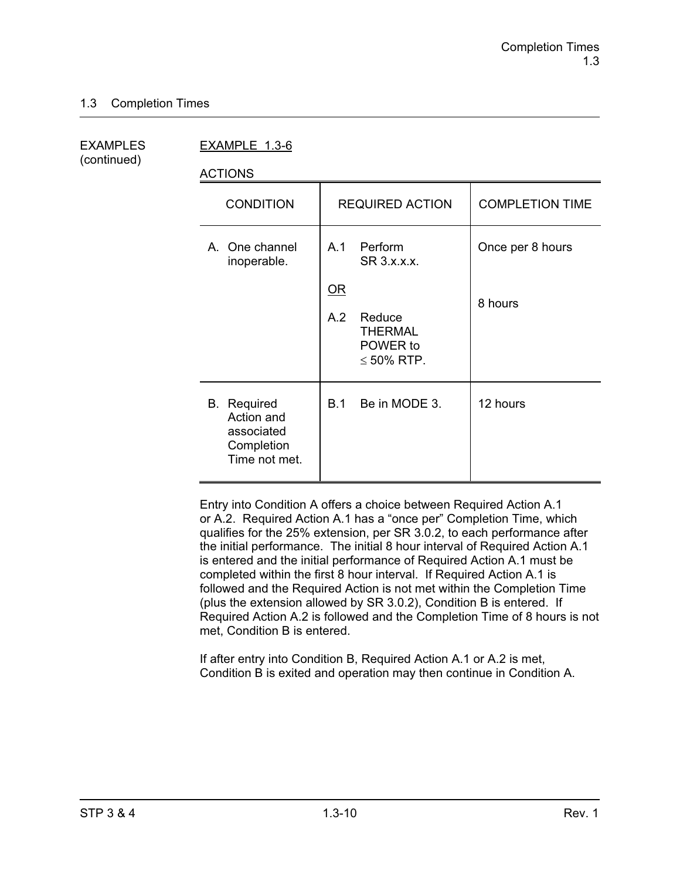(continued)

EXAMPLES EXAMPLE 1.3-6

ACTIONS

| <b>CONDITION</b>                                                              | <b>REQUIRED ACTION</b>                                                  | <b>COMPLETION TIME</b> |
|-------------------------------------------------------------------------------|-------------------------------------------------------------------------|------------------------|
| A. One channel<br>inoperable.                                                 | A.1<br>Perform<br>SR 3.x.x.x.                                           | Once per 8 hours       |
|                                                                               | $OR$<br>A.2<br>Reduce<br><b>THERMAL</b><br>POWER to<br>$\leq 50\%$ RTP. | 8 hours                |
| <b>B.</b> Required<br>Action and<br>associated<br>Completion<br>Time not met. | Be in MODE 3.<br><b>B.1</b>                                             | 12 hours               |

Entry into Condition A offers a choice between Required Action A.1 or A.2. Required Action A.1 has a "once per" Completion Time, which qualifies for the 25% extension, per SR 3.0.2, to each performance after the initial performance. The initial 8 hour interval of Required Action A.1 is entered and the initial performance of Required Action A.1 must be completed within the first 8 hour interval. If Required Action A.1 is followed and the Required Action is not met within the Completion Time (plus the extension allowed by SR 3.0.2), Condition B is entered. If Required Action A.2 is followed and the Completion Time of 8 hours is not met, Condition B is entered.

If after entry into Condition B, Required Action A.1 or A.2 is met, Condition B is exited and operation may then continue in Condition A.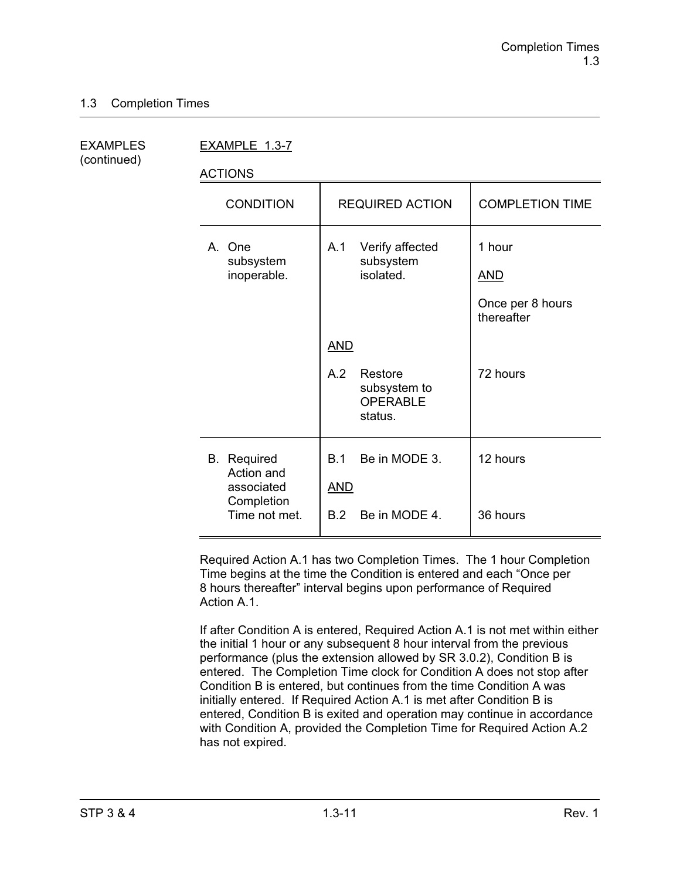| EXAMPLES    |  |
|-------------|--|
| (continued) |  |

EXAMPLE 1.3-7

ACTIONS

| <b>CONDITION</b>                                                              | <b>REQUIRED ACTION</b>                                                     | <b>COMPLETION TIME</b>                                 |
|-------------------------------------------------------------------------------|----------------------------------------------------------------------------|--------------------------------------------------------|
| A. One<br>subsystem<br>inoperable.                                            | A.1<br>Verify affected<br>subsystem<br>isolated.                           | 1 hour<br><b>AND</b><br>Once per 8 hours<br>thereafter |
|                                                                               | <u>AND</u><br>A.2<br>Restore<br>subsystem to<br><b>OPERABLE</b><br>status. | 72 hours                                               |
| <b>B.</b> Required<br>Action and<br>associated<br>Completion<br>Time not met. | Be in MODE 3.<br>B.1<br><b>AND</b><br>Be in MODE 4.<br>B.2                 | 12 hours<br>36 hours                                   |

Required Action A.1 has two Completion Times. The 1 hour Completion Time begins at the time the Condition is entered and each "Once per 8 hours thereafter" interval begins upon performance of Required Action A<sub>1</sub>

If after Condition A is entered, Required Action A.1 is not met within either the initial 1 hour or any subsequent 8 hour interval from the previous performance (plus the extension allowed by SR 3.0.2), Condition B is entered. The Completion Time clock for Condition A does not stop after Condition B is entered, but continues from the time Condition A was initially entered. If Required Action A.1 is met after Condition B is entered, Condition B is exited and operation may continue in accordance with Condition A, provided the Completion Time for Required Action A.2 has not expired.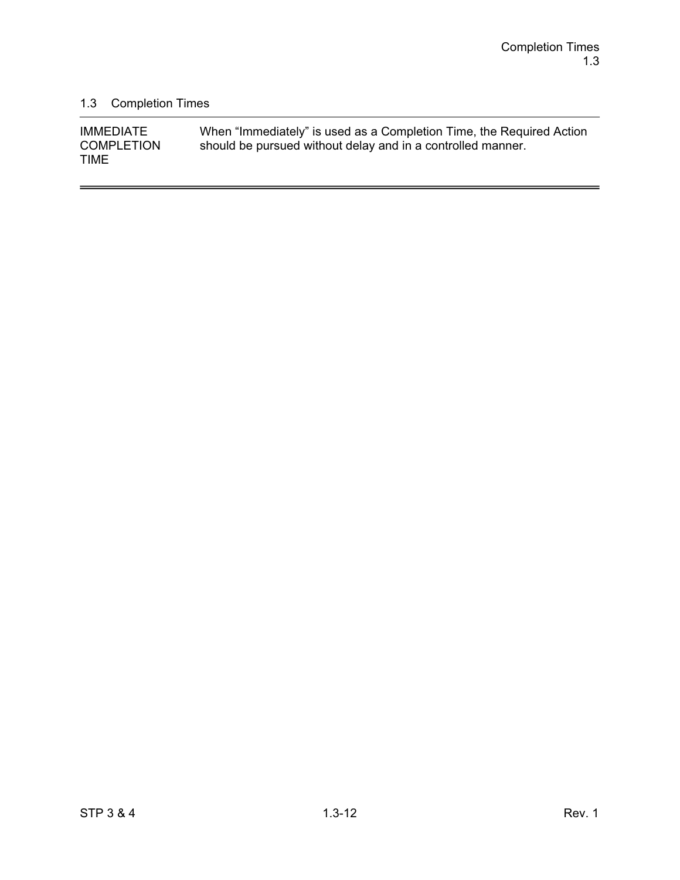$\overline{a}$ 

## 1.3 Completion Times

| <b>IMMEDIATE</b>  | When "Immediately" is used as a Completion Time, the Required Action |
|-------------------|----------------------------------------------------------------------|
| <b>COMPLETION</b> | should be pursued without delay and in a controlled manner.          |
| <b>TIME</b>       |                                                                      |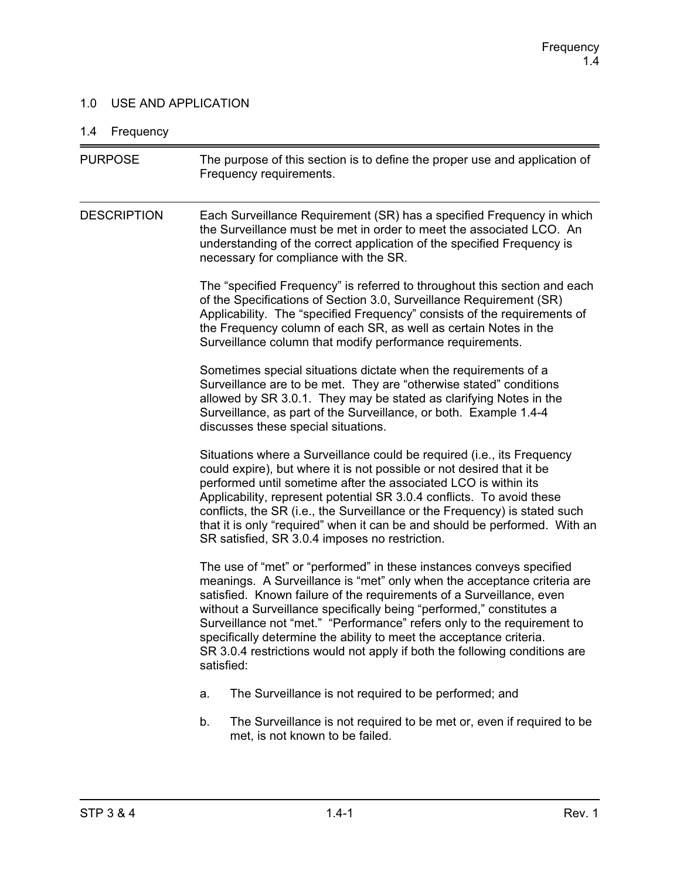## 1.0 USE AND APPLICATION

# 1.4 Frequency

| <b>PURPOSE</b>     | The purpose of this section is to define the proper use and application of<br>Frequency requirements.                                                                                                                                                                                                                                                                                                                                                                                                                                         |  |  |
|--------------------|-----------------------------------------------------------------------------------------------------------------------------------------------------------------------------------------------------------------------------------------------------------------------------------------------------------------------------------------------------------------------------------------------------------------------------------------------------------------------------------------------------------------------------------------------|--|--|
| <b>DESCRIPTION</b> | Each Surveillance Requirement (SR) has a specified Frequency in which<br>the Surveillance must be met in order to meet the associated LCO. An<br>understanding of the correct application of the specified Frequency is<br>necessary for compliance with the SR.                                                                                                                                                                                                                                                                              |  |  |
|                    | The "specified Frequency" is referred to throughout this section and each<br>of the Specifications of Section 3.0, Surveillance Requirement (SR)<br>Applicability. The "specified Frequency" consists of the requirements of<br>the Frequency column of each SR, as well as certain Notes in the<br>Surveillance column that modify performance requirements.                                                                                                                                                                                 |  |  |
|                    | Sometimes special situations dictate when the requirements of a<br>Surveillance are to be met. They are "otherwise stated" conditions<br>allowed by SR 3.0.1. They may be stated as clarifying Notes in the<br>Surveillance, as part of the Surveillance, or both. Example 1.4-4<br>discusses these special situations.                                                                                                                                                                                                                       |  |  |
|                    | Situations where a Surveillance could be required (i.e., its Frequency<br>could expire), but where it is not possible or not desired that it be<br>performed until sometime after the associated LCO is within its<br>Applicability, represent potential SR 3.0.4 conflicts. To avoid these<br>conflicts, the SR (i.e., the Surveillance or the Frequency) is stated such<br>that it is only "required" when it can be and should be performed. With an<br>SR satisfied, SR 3.0.4 imposes no restriction.                                     |  |  |
|                    | The use of "met" or "performed" in these instances conveys specified<br>meanings. A Surveillance is "met" only when the acceptance criteria are<br>satisfied. Known failure of the requirements of a Surveillance, even<br>without a Surveillance specifically being "performed," constitutes a<br>Surveillance not "met." "Performance" refers only to the requirement to<br>specifically determine the ability to meet the acceptance criteria.<br>SR 3.0.4 restrictions would not apply if both the following conditions are<br>satisfied: |  |  |
|                    | The Surveillance is not required to be performed; and<br>a.                                                                                                                                                                                                                                                                                                                                                                                                                                                                                   |  |  |
|                    | The Surveillance is not required to be met or, even if required to be<br>b.<br>met, is not known to be failed.                                                                                                                                                                                                                                                                                                                                                                                                                                |  |  |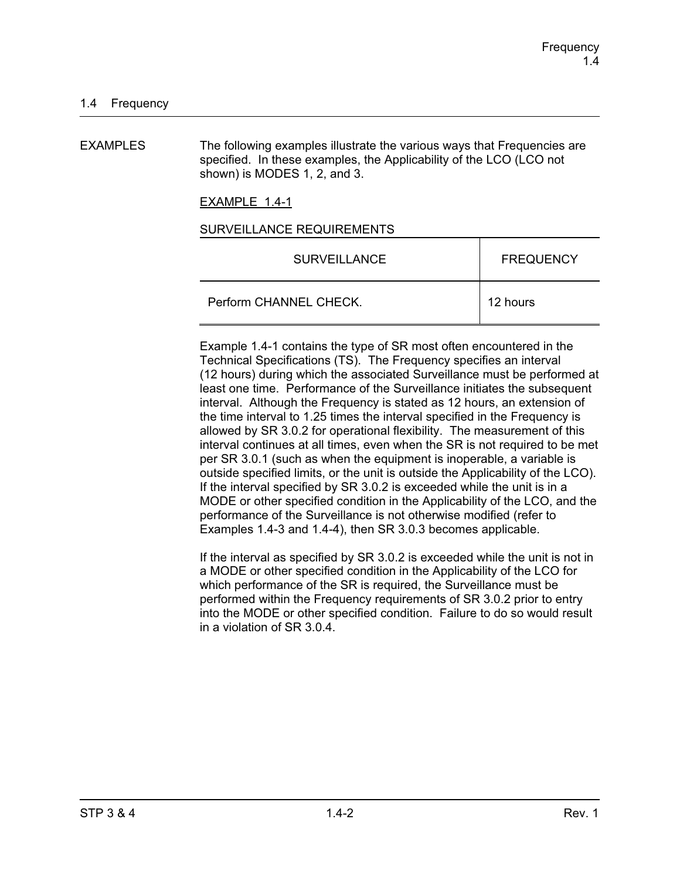EXAMPLES The following examples illustrate the various ways that Frequencies are specified. In these examples, the Applicability of the LCO (LCO not shown) is MODES 1, 2, and 3.

EXAMPLE 1.4-1

#### SURVEILLANCE REQUIREMENTS

| <b>SURVEILLANCE</b>    | <b>FREQUENCY</b> |
|------------------------|------------------|
| Perform CHANNEL CHECK. | 12 hours         |

Example 1.4-1 contains the type of SR most often encountered in the Technical Specifications (TS). The Frequency specifies an interval (12 hours) during which the associated Surveillance must be performed at least one time. Performance of the Surveillance initiates the subsequent interval. Although the Frequency is stated as 12 hours, an extension of the time interval to 1.25 times the interval specified in the Frequency is allowed by SR 3.0.2 for operational flexibility. The measurement of this interval continues at all times, even when the SR is not required to be met per SR 3.0.1 (such as when the equipment is inoperable, a variable is outside specified limits, or the unit is outside the Applicability of the LCO). If the interval specified by SR 3.0.2 is exceeded while the unit is in a MODE or other specified condition in the Applicability of the LCO, and the performance of the Surveillance is not otherwise modified (refer to Examples 1.4-3 and 1.4-4), then SR 3.0.3 becomes applicable.

If the interval as specified by SR 3.0.2 is exceeded while the unit is not in a MODE or other specified condition in the Applicability of the LCO for which performance of the SR is required, the Surveillance must be performed within the Frequency requirements of SR 3.0.2 prior to entry into the MODE or other specified condition. Failure to do so would result in a violation of SR 3.0.4.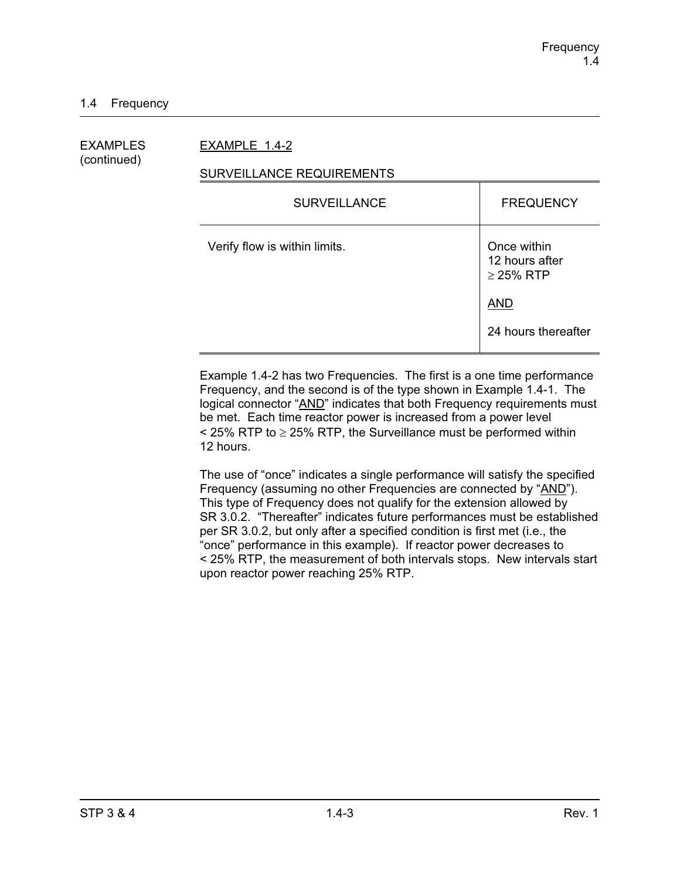## EXAMPLES EXAMPLE 1.4-2

(continued)

## SURVEILLANCE REQUIREMENTS

| <b>SURVEILLANCE</b>           | <b>FREQUENCY</b>                                |
|-------------------------------|-------------------------------------------------|
| Verify flow is within limits. | Once within<br>12 hours after<br>$\geq$ 25% RTP |
|                               | <b>AND</b>                                      |
|                               | 24 hours thereafter                             |

Example 1.4-2 has two Frequencies. The first is a one time performance Frequency, and the second is of the type shown in Example 1.4-1. The logical connector "AND" indicates that both Frequency requirements must be met. Each time reactor power is increased from a power level  $\le$  25% RTP to  $\ge$  25% RTP, the Surveillance must be performed within 12 hours.

The use of "once" indicates a single performance will satisfy the specified Frequency (assuming no other Frequencies are connected by "AND"). This type of Frequency does not qualify for the extension allowed by SR 3.0.2. "Thereafter" indicates future performances must be established per SR 3.0.2, but only after a specified condition is first met (i.e., the "once" performance in this example). If reactor power decreases to < 25% RTP, the measurement of both intervals stops. New intervals start upon reactor power reaching 25% RTP.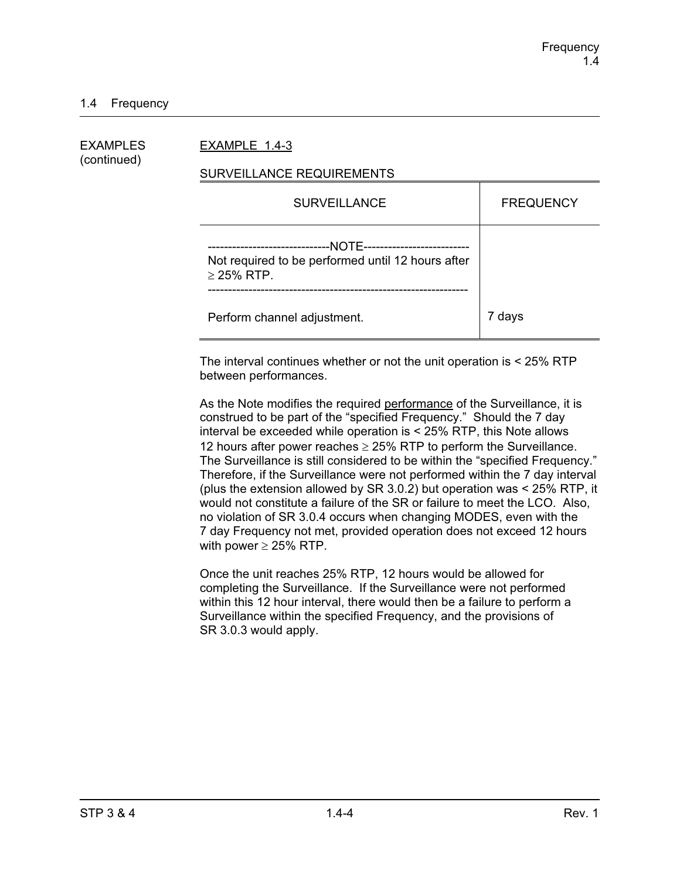### 1.4 Frequency

| EXAMPLES    | EXAMPLE 1.4-3                                                                                  |                  |
|-------------|------------------------------------------------------------------------------------------------|------------------|
| (continued) | SURVEILLANCE REQUIREMENTS                                                                      |                  |
|             | <b>SURVEILLANCE</b>                                                                            | <b>FREQUENCY</b> |
|             | -NOTE-----------------<br>Not required to be performed until 12 hours after<br>$\geq$ 25% RTP. |                  |
|             | Perform channel adjustment.                                                                    | 7 days           |

The interval continues whether or not the unit operation is < 25% RTP between performances.

As the Note modifies the required performance of the Surveillance, it is construed to be part of the "specified Frequency." Should the 7 day interval be exceeded while operation is < 25% RTP, this Note allows 12 hours after power reaches  $\geq$  25% RTP to perform the Surveillance. The Surveillance is still considered to be within the "specified Frequency." Therefore, if the Surveillance were not performed within the 7 day interval (plus the extension allowed by SR 3.0.2) but operation was < 25% RTP, it would not constitute a failure of the SR or failure to meet the LCO. Also, no violation of SR 3.0.4 occurs when changing MODES, even with the 7 day Frequency not met, provided operation does not exceed 12 hours with power  $\geq$  25% RTP.

Once the unit reaches 25% RTP, 12 hours would be allowed for completing the Surveillance. If the Surveillance were not performed within this 12 hour interval, there would then be a failure to perform a Surveillance within the specified Frequency, and the provisions of SR 3.0.3 would apply.